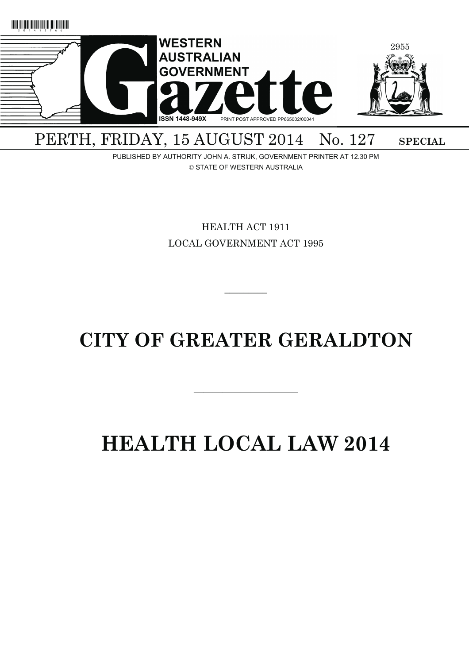

# PERTH, FRIDAY, 15 AUGUST 2014 No. 127 SPECIAL

PUBLISHED BY AUTHORITY JOHN A. STRIJK, GOVERNMENT PRINTER AT 12.30 PM © STATE OF WESTERN AUSTRALIA

> HEALTH ACT 1911 LOCAL GOVERNMENT ACT 1995

# **CITY OF GREATER GERALDTON**

———————————

 $\overline{\phantom{a}}$   $\overline{\phantom{a}}$ 

# **HEALTH LOCAL LAW 2014**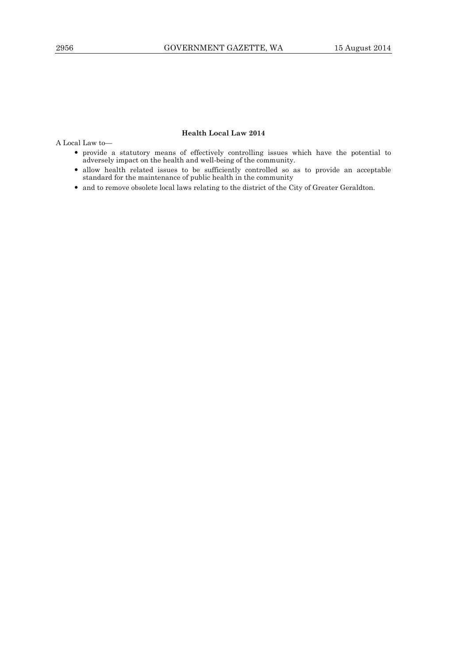# **Health Local Law 2014**

A Local Law to—

- provide a statutory means of effectively controlling issues which have the potential to adversely impact on the health and well-being of the community.
- allow health related issues to be sufficiently controlled so as to provide an acceptable standard for the maintenance of public health in the community
- and to remove obsolete local laws relating to the district of the City of Greater Geraldton.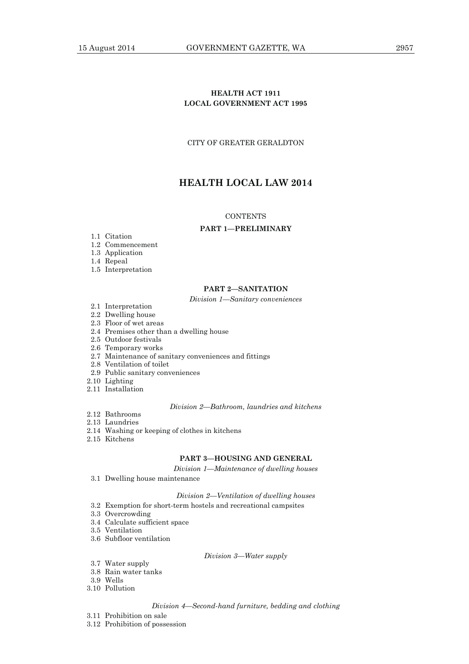# **HEALTH ACT 1911 LOCAL GOVERNMENT ACT 1995**

CITY OF GREATER GERALDTON

# **HEALTH LOCAL LAW 2014**

#### **CONTENTS**

# **PART 1—PRELIMINARY**

- 1.1 Citation
- 1.2 Commencement
- 1.3 Application
- 1.4 Repeal
- 1.5 Interpretation

# **PART 2—SANITATION**

#### *Division 1—Sanitary conveniences*

- 2.1 Interpretation
- 2.2 Dwelling house
- 2.3 Floor of wet areas
- 2.4 Premises other than a dwelling house
- 2.5 Outdoor festivals
- 2.6 Temporary works
- 2.7 Maintenance of sanitary conveniences and fittings
- 2.8 Ventilation of toilet
- 2.9 Public sanitary conveniences
- 2.10 Lighting
- 2.11 Installation

#### *Division 2—Bathroom, laundries and kitchens*

- 2.12 Bathrooms
- 2.13 Laundries
- 2.14 Washing or keeping of clothes in kitchens
- 2.15 Kitchens

# **PART 3—HOUSING AND GENERAL**

*Division 1—Maintenance of dwelling houses*

3.1 Dwelling house maintenance

# *Division 2—Ventilation of dwelling houses*

- 3.2 Exemption for short-term hostels and recreational campsites
- 3.3 Overcrowding
- 3.4 Calculate sufficient space
- 3.5 Ventilation
- 3.6 Subfloor ventilation

# *Division 3—Water supply*

- 3.7 Water supply
- 3.8 Rain water tanks
- 3.9 Wells
- 3.10 Pollution

#### *Division 4—Second-hand furniture, bedding and clothing*

- 3.11 Prohibition on sale
- 3.12 Prohibition of possession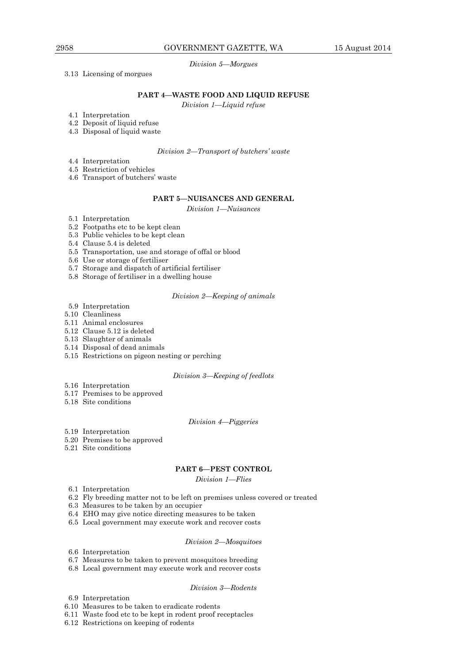# *Division 5—Morgues*

## 3.13 Licensing of morgues

# **PART 4—WASTE FOOD AND LIQUID REFUSE**

*Division 1—Liquid refuse*

4.1 Interpretation

- 4.2 Deposit of liquid refuse
- 4.3 Disposal of liquid waste

# *Division 2—Transport of butchers' waste*

- 4.4 Interpretation
- 4.5 Restriction of vehicles
- 4.6 Transport of butchers' waste

#### **PART 5—NUISANCES AND GENERAL**

*Division 1—Nuisances*

- 5.1 Interpretation
- 5.2 Footpaths etc to be kept clean
- 5.3 Public vehicles to be kept clean
- 5.4 Clause 5.4 is deleted
- 5.5 Transportation, use and storage of offal or blood
- 5.6 Use or storage of fertiliser
- 5.7 Storage and dispatch of artificial fertiliser
- 5.8 Storage of fertiliser in a dwelling house

# *Division 2—Keeping of animals*

- 5.9 Interpretation
- 5.10 Cleanliness
- 5.11 Animal enclosures
- 5.12 Clause 5.12 is deleted
- 5.13 Slaughter of animals
- 5.14 Disposal of dead animals
- 5.15 Restrictions on pigeon nesting or perching

# *Division 3—Keeping of feedlots*

- 5.16 Interpretation
- 5.17 Premises to be approved
- 5.18 Site conditions

#### *Division 4—Piggeries*

- 5.19 Interpretation
- 5.20 Premises to be approved
- 5.21 Site conditions

# **PART 6—PEST CONTROL**

*Division 1—Flies*

- 6.1 Interpretation
- 6.2 Fly breeding matter not to be left on premises unless covered or treated
- 6.3 Measures to be taken by an occupier
- 6.4 EHO may give notice directing measures to be taken
- 6.5 Local government may execute work and recover costs

# *Division 2—Mosquitoes*

- 6.6 Interpretation
- 6.7 Measures to be taken to prevent mosquitoes breeding
- 6.8 Local government may execute work and recover costs

#### *Division 3—Rodents*

- 6.9 Interpretation
- 6.10 Measures to be taken to eradicate rodents
- 6.11 Waste food etc to be kept in rodent proof receptacles
- 6.12 Restrictions on keeping of rodents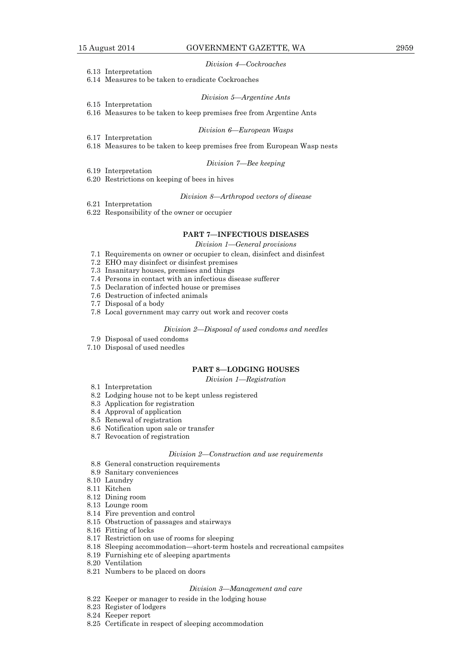#### *Division 4—Cockroaches*

6.13 Interpretation

6.15 Interpretation

6.14 Measures to be taken to eradicate Cockroaches

#### *Division 5—Argentine Ants*

6.16 Measures to be taken to keep premises free from Argentine Ants

#### *Division 6—European Wasps*

- 6.17 Interpretation 6.18 Measures to be taken to keep premises free from European Wasp nests
	-

# *Division 7—Bee keeping*

6.19 Interpretation

6.20 Restrictions on keeping of bees in hives

# *Division 8—Arthropod vectors of disease*

6.21 Interpretation 6.22 Responsibility of the owner or occupier

#### **PART 7—INFECTIOUS DISEASES**

*Division 1—General provisions*

- 7.1 Requirements on owner or occupier to clean, disinfect and disinfest
- 7.2 EHO may disinfect or disinfest premises
- 7.3 Insanitary houses, premises and things
- 7.4 Persons in contact with an infectious disease sufferer
- 7.5 Declaration of infected house or premises
- 7.6 Destruction of infected animals
- 7.7 Disposal of a body
- 7.8 Local government may carry out work and recover costs

#### *Division 2—Disposal of used condoms and needles*

- 7.9 Disposal of used condoms
- 7.10 Disposal of used needles

#### **PART 8—LODGING HOUSES**

*Division 1—Registration*

- 8.1 Interpretation
- 8.2 Lodging house not to be kept unless registered
- 8.3 Application for registration
- 8.4 Approval of application
- 8.5 Renewal of registration
- 8.6 Notification upon sale or transfer
- 8.7 Revocation of registration

# *Division 2—Construction and use requirements*

- 8.8 General construction requirements
- 8.9 Sanitary conveniences
- 8.10 Laundry
- 8.11 Kitchen
- 8.12 Dining room
- 8.13 Lounge room
- 8.14 Fire prevention and control
- 8.15 Obstruction of passages and stairways
- 8.16 Fitting of locks
- 8.17 Restriction on use of rooms for sleeping
- 8.18 Sleeping accommodation—short-term hostels and recreational campsites
- 8.19 Furnishing etc of sleeping apartments
- 8.20 Ventilation
- 8.21 Numbers to be placed on doors

#### *Division 3—Management and care*

- 8.22 Keeper or manager to reside in the lodging house
- 8.23 Register of lodgers
- 8.24 Keeper report
- 8.25 Certificate in respect of sleeping accommodation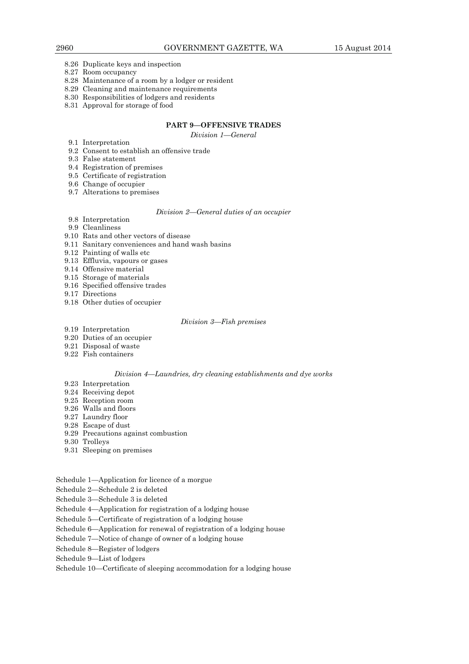- 8.26 Duplicate keys and inspection
- 8.27 Room occupancy
- 8.28 Maintenance of a room by a lodger or resident
- 8.29 Cleaning and maintenance requirements
- 8.30 Responsibilities of lodgers and residents
- 8.31 Approval for storage of food

# **PART 9—OFFENSIVE TRADES**

*Division 1—General*

- 9.1 Interpretation
- 9.2 Consent to establish an offensive trade
- 9.3 False statement
- 9.4 Registration of premises
- 9.5 Certificate of registration
- 9.6 Change of occupier
- 9.7 Alterations to premises

# *Division 2—General duties of an occupier*

- 9.8 Interpretation
- 9.9 Cleanliness
- 9.10 Rats and other vectors of disease
- 9.11 Sanitary conveniences and hand wash basins
- 9.12 Painting of walls etc
- 9.13 Effluvia, vapours or gases
- 9.14 Offensive material
- 9.15 Storage of materials
- 9.16 Specified offensive trades
- 9.17 Directions
- 9.18 Other duties of occupier

## *Division 3—Fish premises*

- 9.19 Interpretation
- 9.20 Duties of an occupier
- 9.21 Disposal of waste
- 9.22 Fish containers

# *Division 4—Laundries, dry cleaning establishments and dye works*

- 9.23 Interpretation
- 9.24 Receiving depot
- 9.25 Reception room
- 9.26 Walls and floors
- 9.27 Laundry floor
- 9.28 Escape of dust
- 9.29 Precautions against combustion
- 9.30 Trolleys
- 9.31 Sleeping on premises
- Schedule 1—Application for licence of a morgue
- Schedule 2—Schedule 2 is deleted
- Schedule 3—Schedule 3 is deleted
- Schedule 4—Application for registration of a lodging house
- Schedule 5—Certificate of registration of a lodging house
- Schedule 6—Application for renewal of registration of a lodging house
- Schedule 7—Notice of change of owner of a lodging house
- Schedule 8—Register of lodgers
- Schedule 9—List of lodgers

# Schedule 10—Certificate of sleeping accommodation for a lodging house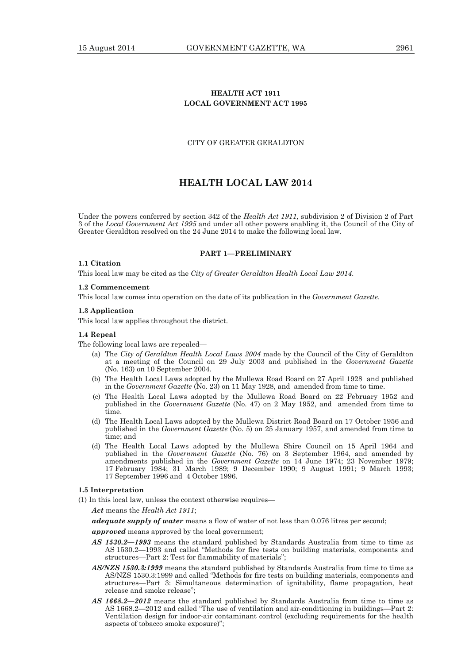# **HEALTH ACT 1911 LOCAL GOVERNMENT ACT 1995**

# CITY OF GREATER GERALDTON

# **HEALTH LOCAL LAW 2014**

Under the powers conferred by section 342 of the *Health Act 1911,* subdivision 2 of Division 2 of Part 3 of the *Local Government Act 1995* and under all other powers enabling it, the Council of the City of Greater Geraldton resolved on the 24 June 2014 to make the following local law.

#### **PART 1—PRELIMINARY**

# **1.1 Citation**

This local law may be cited as the *City of Greater Geraldton Health Local Law 2014*.

#### **1.2 Commencement**

This local law comes into operation on the date of its publication in the *Government Gazette*.

#### **1.3 Application**

This local law applies throughout the district.

# **1.4 Repeal**

The following local laws are repealed—

- (a) The *City of Geraldton Health Local Laws 2004* made by the Council of the City of Geraldton at a meeting of the Council on 29 July 2003 and published in the *Government Gazette* (No. 163) on 10 September 2004.
- (b) The Health Local Laws adopted by the Mullewa Road Board on 27 April 1928 and published in the *Government Gazette* (No. 23) on 11 May 1928, and amended from time to time.
- (c) The Health Local Laws adopted by the Mullewa Road Board on 22 February 1952 and published in the *Government Gazette* (No. 47) on 2 May 1952, and amended from time to time.
- (d) The Health Local Laws adopted by the Mullewa District Road Board on 17 October 1956 and published in the *Government Gazette* (No. 5) on 25 January 1957, and amended from time to time; and
- (d) The Health Local Laws adopted by the Mullewa Shire Council on 15 April 1964 and published in the *Government Gazette* (No. 76) on 3 September 1964, and amended by amendments published in the *Government Gazette* on 14 June 1974; 23 November 1979; 17 February 1984; 31 March 1989; 9 December 1990; 9 August 1991; 9 March 1993; 17 September 1996 and 4 October 1996.

#### **1.5 Interpretation**

(1) In this local law, unless the context otherwise requires—

*Act* means the *Health Act 1911*;

*adequate supply of water* means a flow of water of not less than 0.076 litres per second;

*approved* means approved by the local government:

- *AS 1530.2—1993* means the standard published by Standards Australia from time to time as AS 1530.2—1993 and called "Methods for fire tests on building materials, components and structures—Part 2: Test for flammability of materials";
- *AS/NZS 1530.3:1999* means the standard published by Standards Australia from time to time as AS/NZS 1530.3:1999 and called "Methods for fire tests on building materials, components and structures—Part 3: Simultaneous determination of ignitability, flame propagation, heat release and smoke release";
- *AS 1668.2—2012* means the standard published by Standards Australia from time to time as AS 1668.2—2012 and called "The use of ventilation and air-conditioning in buildings—Part 2: Ventilation design for indoor-air contaminant control (excluding requirements for the health aspects of tobacco smoke exposure)";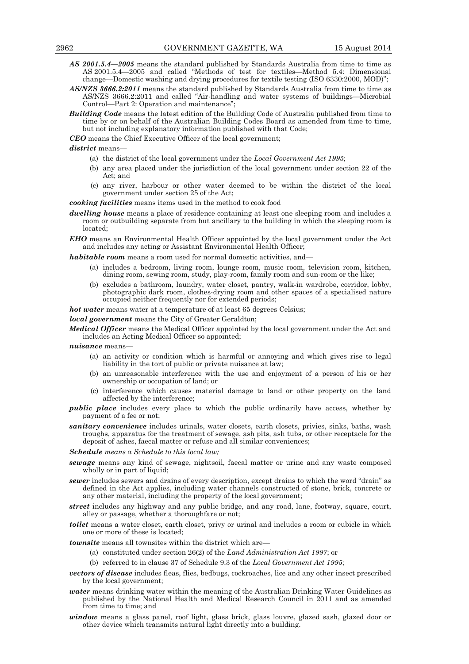- *AS 2001.5.4—2005* means the standard published by Standards Australia from time to time as AS 2001.5.4—2005 and called "Methods of test for textiles—Method 5.4: Dimensional change—Domestic washing and drying procedures for textile testing (ISO 6330:2000, MOD)";
- *AS/NZS 3666.2:2011* means the standard published by Standards Australia from time to time as AS/NZS 3666.2:2011 and called "Air-handling and water systems of buildings—Microbial Control—Part 2: Operation and maintenance";
- *Building Code* means the latest edition of the Building Code of Australia published from time to time by or on behalf of the Australian Building Codes Board as amended from time to time, but not including explanatory information published with that Code;

*CEO* means the Chief Executive Officer of the local government;

*district* means—

- (a) the district of the local government under the *Local Government Act 1995*;
- (b) any area placed under the jurisdiction of the local government under section 22 of the Act; and
- (c) any river, harbour or other water deemed to be within the district of the local government under section 25 of the Act;

*cooking facilities* means items used in the method to cook food

*dwelling house* means a place of residence containing at least one sleeping room and includes a room or outbuilding separate from but ancillary to the building in which the sleeping room is located;

*EHO* means an Environmental Health Officer appointed by the local government under the Act and includes any acting or Assistant Environmental Health Officer;

*habitable room* means a room used for normal domestic activities, and-

- (a) includes a bedroom, living room, lounge room, music room, television room, kitchen, dining room, sewing room, study, play-room, family room and sun-room or the like;
- (b) excludes a bathroom, laundry, water closet, pantry, walk-in wardrobe, corridor, lobby, photographic dark room, clothes-drying room and other spaces of a specialised nature occupied neither frequently nor for extended periods;

*hot water* means water at a temperature of at least 65 degrees Celsius;

*local government* means the City of Greater Geraldton;

*Medical Officer* means the Medical Officer appointed by the local government under the Act and includes an Acting Medical Officer so appointed;

*nuisance* means—

- (a) an activity or condition which is harmful or annoying and which gives rise to legal liability in the tort of public or private nuisance at law;
- (b) an unreasonable interference with the use and enjoyment of a person of his or her ownership or occupation of land; or
- (c) interference which causes material damage to land or other property on the land affected by the interference;
- *public place* includes every place to which the public ordinarily have access, whether by payment of a fee or not;
- *sanitary convenience* includes urinals, water closets, earth closets, privies, sinks, baths, wash troughs, apparatus for the treatment of sewage, ash pits, ash tubs, or other receptacle for the deposit of ashes, faecal matter or refuse and all similar conveniences;

*Schedule means a Schedule to this local law;* 

- *sewage* means any kind of sewage, nightsoil, faecal matter or urine and any waste composed wholly or in part of liquid;
- *sewer* includes sewers and drains of every description, except drains to which the word "drain" as defined in the Act applies, including water channels constructed of stone, brick, concrete or any other material, including the property of the local government;
- *street* includes any highway and any public bridge, and any road, lane, footway, square, court, alley or passage, whether a thoroughfare or not;
- *toilet* means a water closet, earth closet, privy or urinal and includes a room or cubicle in which one or more of these is located;

*townsite* means all townsites within the district which are—

- (a) constituted under section 26(2) of the *Land Administration Act 1997*; or
- (b) referred to in clause 37 of Schedule 9.3 of the *Local Government Act 1995*;
- *vectors of disease* includes fleas, flies, bedbugs, cockroaches, lice and any other insect prescribed by the local government;
- *water* means drinking water within the meaning of the Australian Drinking Water Guidelines as published by the National Health and Medical Research Council in 2011 and as amended from time to time; and
- *window* means a glass panel, roof light, glass brick, glass louvre, glazed sash, glazed door or other device which transmits natural light directly into a building.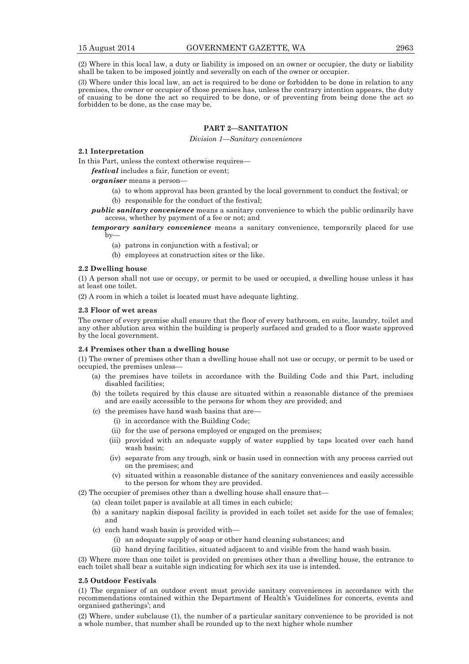(2) Where in this local law, a duty or liability is imposed on an owner or occupier, the duty or liability shall be taken to be imposed jointly and severally on each of the owner or occupier.

(3) Where under this local law, an act is required to be done or forbidden to be done in relation to any premises, the owner or occupier of those premises has, unless the contrary intention appears, the duty of causing to be done the act so required to be done, or of preventing from being done the act so forbidden to be done, as the case may be.

# **PART 2—SANITATION**

#### *Division 1—Sanitary conveniences*

# **2.1 Interpretation**

In this Part, unless the context otherwise requires—

*festival* includes a fair, function or event;

*organiser* means a person—

- (a) to whom approval has been granted by the local government to conduct the festival; or
- (b) responsible for the conduct of the festival;
- *public sanitary convenience* means a sanitary convenience to which the public ordinarily have access, whether by payment of a fee or not; and
- *temporary sanitary convenience* means a sanitary convenience, temporarily placed for use  $by-$ 
	- (a) patrons in conjunction with a festival; or
	- (b) employees at construction sites or the like.

#### **2.2 Dwelling house**

(1) A person shall not use or occupy, or permit to be used or occupied, a dwelling house unless it has at least one toilet.

(2) A room in which a toilet is located must have adequate lighting.

#### **2.3 Floor of wet areas**

The owner of every premise shall ensure that the floor of every bathroom, en suite, laundry, toilet and any other ablution area within the building is properly surfaced and graded to a floor waste approved by the local government.

# **2.4 Premises other than a dwelling house**

(1) The owner of premises other than a dwelling house shall not use or occupy, or permit to be used or occupied, the premises unless—

- (a) the premises have toilets in accordance with the Building Code and this Part, including disabled facilities;
- (b) the toilets required by this clause are situated within a reasonable distance of the premises and are easily accessible to the persons for whom they are provided; and
- (c) the premises have hand wash basins that are—
	- (i) in accordance with the Building Code;
	- (ii) for the use of persons employed or engaged on the premises;
	- (iii) provided with an adequate supply of water supplied by taps located over each hand wash basin;
	- (iv) separate from any trough, sink or basin used in connection with any process carried out on the premises; and
	- (v) situated within a reasonable distance of the sanitary conveniences and easily accessible to the person for whom they are provided.
- (2) The occupier of premises other than a dwelling house shall ensure that—
	- (a) clean toilet paper is available at all times in each cubicle;
	- (b) a sanitary napkin disposal facility is provided in each toilet set aside for the use of females; and
	- (c) each hand wash basin is provided with—
		- (i) an adequate supply of soap or other hand cleaning substances; and
		- (ii) hand drying facilities, situated adjacent to and visible from the hand wash basin.

(3) Where more than one toilet is provided on premises other than a dwelling house, the entrance to each toilet shall bear a suitable sign indicating for which sex its use is intended.

#### **2.5 Outdoor Festivals**

(1) The organiser of an outdoor event must provide sanitary conveniences in accordance with the recommendations contained within the Department of Health's 'Guidelines for concerts, events and organised gatherings'; and

(2) Where, under subclause (1), the number of a particular sanitary convenience to be provided is not a whole number, that number shall be rounded up to the next higher whole number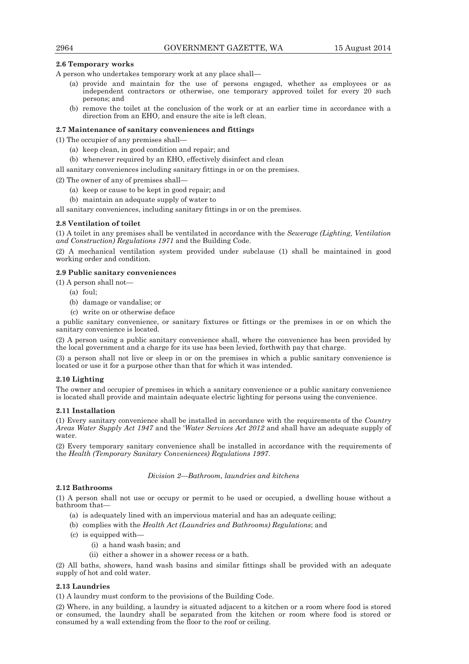# **2.6 Temporary works**

A person who undertakes temporary work at any place shall—

- (a) provide and maintain for the use of persons engaged, whether as employees or as independent contractors or otherwise, one temporary approved toilet for every 20 such persons; and
- (b) remove the toilet at the conclusion of the work or at an earlier time in accordance with a direction from an EHO, and ensure the site is left clean.

# **2.7 Maintenance of sanitary conveniences and fittings**

(1) The occupier of any premises shall—

- (a) keep clean, in good condition and repair; and
- (b) whenever required by an EHO, effectively disinfect and clean
- all sanitary conveniences including sanitary fittings in or on the premises.
- (2) The owner of any of premises shall—
	- (a) keep or cause to be kept in good repair; and
	- (b) maintain an adequate supply of water to

all sanitary conveniences, including sanitary fittings in or on the premises.

# **2.8 Ventilation of toilet**

(1) A toilet in any premises shall be ventilated in accordance with the *Sewerage (Lighting, Ventilation and Construction) Regulations 1971* and the Building Code.

(2) A mechanical ventilation system provided under subclause (1) shall be maintained in good working order and condition.

# **2.9 Public sanitary conveniences**

(1) A person shall not—

- (a) foul;
- (b) damage or vandalise; or
- (c) write on or otherwise deface

a public sanitary convenience, or sanitary fixtures or fittings or the premises in or on which the sanitary convenience is located.

(2) A person using a public sanitary convenience shall, where the convenience has been provided by the local government and a charge for its use has been levied, forthwith pay that charge.

(3) a person shall not live or sleep in or on the premises in which a public sanitary convenience is located or use it for a purpose other than that for which it was intended.

# **2.10 Lighting**

The owner and occupier of premises in which a sanitary convenience or a public sanitary convenience is located shall provide and maintain adequate electric lighting for persons using the convenience.

#### **2.11 Installation**

(1) Every sanitary convenience shall be installed in accordance with the requirements of the *Country Areas Water Supply Act 1947* and the '*Water Services Act 2012* and shall have an adequate supply of water.

(2) Every temporary sanitary convenience shall be installed in accordance with the requirements of the *Health (Temporary Sanitary Conveniences) Regulations 1997*.

#### *Division 2—Bathroom, laundries and kitchens*

# **2.12 Bathrooms**

(1) A person shall not use or occupy or permit to be used or occupied, a dwelling house without a bathroom that—

- (a) is adequately lined with an impervious material and has an adequate ceiling;
- (b) complies with the *Health Act (Laundries and Bathrooms) Regulations*; and
- (c) is equipped with—
	- (i) a hand wash basin; and
	- (ii) either a shower in a shower recess or a bath.

(2) All baths, showers, hand wash basins and similar fittings shall be provided with an adequate supply of hot and cold water.

# **2.13 Laundries**

(1) A laundry must conform to the provisions of the Building Code.

(2) Where, in any building, a laundry is situated adjacent to a kitchen or a room where food is stored or consumed, the laundry shall be separated from the kitchen or room where food is stored or consumed by a wall extending from the floor to the roof or ceiling.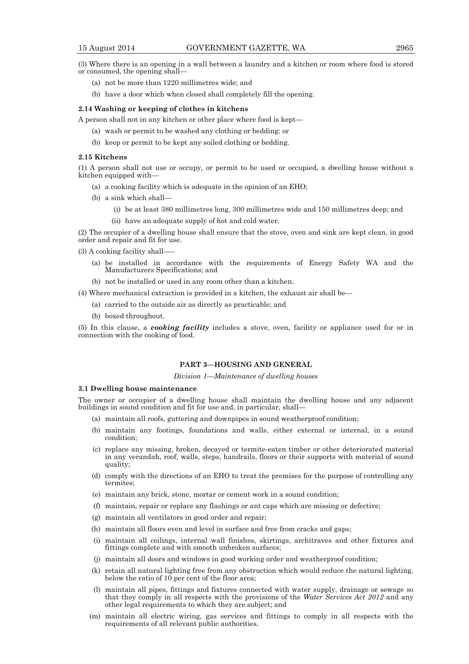(3) Where there is an opening in a wall between a laundry and a kitchen or room where food is stored or consumed, the opening shall—

- (a) not be more than 1220 millimetres wide; and
- (b) have a door which when closed shall completely fill the opening.

#### **2.14 Washing or keeping of clothes in kitchens**

A person shall not in any kitchen or other place where food is kept—

- (a) wash or permit to be washed any clothing or bedding; or
- (b) keep or permit to be kept any soiled clothing or bedding.

#### **2.15 Kitchens**

(1) A person shall not use or occupy, or permit to be used or occupied, a dwelling house without a kitchen equipped with—

- (a) a cooking facility which is adequate in the opinion of an EHO;
- (b) a sink which shall—
	- (i) be at least 380 millimetres long, 300 millimetres wide and 150 millimetres deep; and
	- (ii) have an adequate supply of hot and cold water.

(2) The occupier of a dwelling house shall ensure that the stove, oven and sink are kept clean, in good order and repair and fit for use.

(3) A cooking facility shall—–

- (a) be installed in accordance with the requirements of Energy Safety WA and the Manufacturers Specifications; and
- (b) not be installed or used in any room other than a kitchen.

(4) Where mechanical extraction is provided in a kitchen, the exhaust air shall be—

- (a) carried to the outside air as directly as practicable; and
- (b) boxed throughout.

(5) In this clause, a *cooking facility* includes a stove, oven, facility or appliance used for or in connection with the cooking of food.

# **PART 3—HOUSING AND GENERAL**

# *Division 1—Maintenance of dwelling houses*

# **3.1 Dwelling house maintenance**

The owner or occupier of a dwelling house shall maintain the dwelling house and any adjacent buildings in sound condition and fit for use and, in particular, shall—

- (a) maintain all roofs, guttering and downpipes in sound weatherproof condition;
- (b) maintain any footings, foundations and walls, either external or internal, in a sound condition;
- (c) replace any missing, broken, decayed or termite-eaten timber or other deteriorated material in any verandah, roof, walls, steps, handrails, floors or their supports with material of sound quality;
- (d) comply with the directions of an EHO to treat the premises for the purpose of controlling any termites;
- (e) maintain any brick, stone, mortar or cement work in a sound condition;
- (f) maintain, repair or replace any flashings or ant caps which are missing or defective;
- (g) maintain all ventilators in good order and repair;
- (h) maintain all floors even and level in surface and free from cracks and gaps;
- (i) maintain all ceilings, internal wall finishes, skirtings, architraves and other fixtures and fittings complete and with smooth unbroken surfaces;
- (j) maintain all doors and windows in good working order and weatherproof condition;
- (k) retain all natural lighting free from any obstruction which would reduce the natural lighting, below the ratio of 10 per cent of the floor area;
- (l) maintain all pipes, fittings and fixtures connected with water supply, drainage or sewage so that they comply in all respects with the provisions of the *Water Services Act 2012* and any other legal requirements to which they are subject; and
- (m) maintain all electric wiring, gas services and fittings to comply in all respects with the requirements of all relevant public authorities.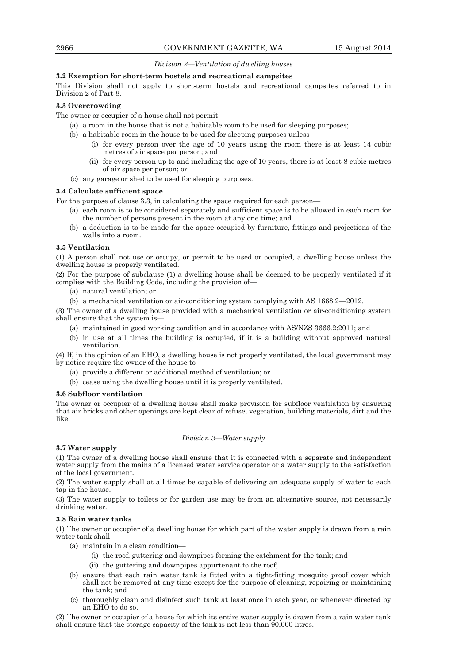# *Division 2—Ventilation of dwelling houses*

### **3.2 Exemption for short-term hostels and recreational campsites**

This Division shall not apply to short-term hostels and recreational campsites referred to in Division 2 of Part 8.

#### **3.3 Overcrowding**

The owner or occupier of a house shall not permit—

- (a) a room in the house that is not a habitable room to be used for sleeping purposes;
- (b) a habitable room in the house to be used for sleeping purposes unless—
	- (i) for every person over the age of 10 years using the room there is at least 14 cubic metres of air space per person; and
	- (ii) for every person up to and including the age of 10 years, there is at least 8 cubic metres of air space per person; or
- (c) any garage or shed to be used for sleeping purposes.

#### **3.4 Calculate sufficient space**

For the purpose of clause 3.3, in calculating the space required for each person—

- (a) each room is to be considered separately and sufficient space is to be allowed in each room for the number of persons present in the room at any one time; and
- (b) a deduction is to be made for the space occupied by furniture, fittings and projections of the walls into a room.

### **3.5 Ventilation**

(1) A person shall not use or occupy, or permit to be used or occupied, a dwelling house unless the dwelling house is properly ventilated.

(2) For the purpose of subclause (1) a dwelling house shall be deemed to be properly ventilated if it complies with the Building Code, including the provision of—

- (a) natural ventilation; or
- (b) a mechanical ventilation or air-conditioning system complying with AS 1668.2—2012.

(3) The owner of a dwelling house provided with a mechanical ventilation or air-conditioning system shall ensure that the system is—

- (a) maintained in good working condition and in accordance with AS/NZS 3666.2:2011; and
- (b) in use at all times the building is occupied, if it is a building without approved natural ventilation.

(4) If, in the opinion of an EHO, a dwelling house is not properly ventilated, the local government may by notice require the owner of the house to—

- (a) provide a different or additional method of ventilation; or
- (b) cease using the dwelling house until it is properly ventilated.

#### **3.6 Subfloor ventilation**

The owner or occupier of a dwelling house shall make provision for subfloor ventilation by ensuring that air bricks and other openings are kept clear of refuse, vegetation, building materials, dirt and the like.

# *Division 3—Water supply*

# **3.7 Water supply**

(1) The owner of a dwelling house shall ensure that it is connected with a separate and independent water supply from the mains of a licensed water service operator or a water supply to the satisfaction of the local government.

(2) The water supply shall at all times be capable of delivering an adequate supply of water to each tap in the house.

(3) The water supply to toilets or for garden use may be from an alternative source, not necessarily drinking water.

#### **3.8 Rain water tanks**

(1) The owner or occupier of a dwelling house for which part of the water supply is drawn from a rain water tank shall—

- (a) maintain in a clean condition—
	- (i) the roof, guttering and downpipes forming the catchment for the tank; and
	- (ii) the guttering and downpipes appurtenant to the roof;
- (b) ensure that each rain water tank is fitted with a tight-fitting mosquito proof cover which shall not be removed at any time except for the purpose of cleaning, repairing or maintaining the tank; and
- (c) thoroughly clean and disinfect such tank at least once in each year, or whenever directed by an EHO to do so.

(2) The owner or occupier of a house for which its entire water supply is drawn from a rain water tank shall ensure that the storage capacity of the tank is not less than  $90,000$  litres.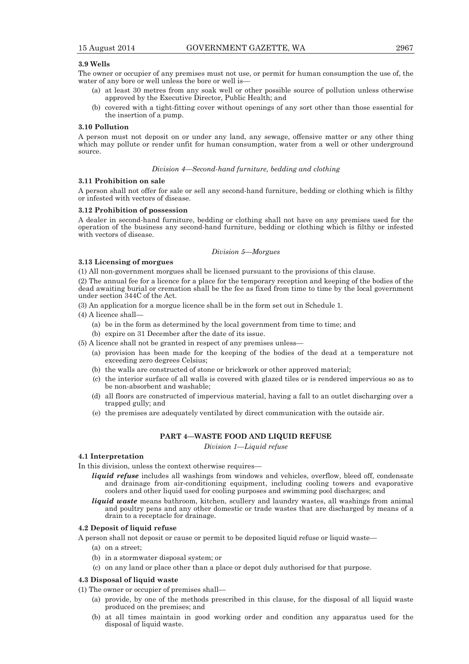# **3.9 Wells**

The owner or occupier of any premises must not use, or permit for human consumption the use of, the water of any bore or well unless the bore or well is—

- (a) at least 30 metres from any soak well or other possible source of pollution unless otherwise approved by the Executive Director, Public Health; and
- (b) covered with a tight-fitting cover without openings of any sort other than those essential for the insertion of a pump.

### **3.10 Pollution**

A person must not deposit on or under any land, any sewage, offensive matter or any other thing which may pollute or render unfit for human consumption, water from a well or other underground source.

# *Division 4—Second-hand furniture, bedding and clothing*

#### **3.11 Prohibition on sale**

A person shall not offer for sale or sell any second-hand furniture, bedding or clothing which is filthy or infested with vectors of disease.

#### **3.12 Prohibition of possession**

A dealer in second-hand furniture, bedding or clothing shall not have on any premises used for the operation of the business any second-hand furniture, bedding or clothing which is filthy or infested with vectors of disease.

#### *Division 5—Morgues*

## **3.13 Licensing of morgues**

(1) All non-government morgues shall be licensed pursuant to the provisions of this clause.

(2) The annual fee for a licence for a place for the temporary reception and keeping of the bodies of the dead awaiting burial or cremation shall be the fee as fixed from time to time by the local government under section 344C of the Act.

(3) An application for a morgue licence shall be in the form set out in Schedule 1.

(4) A licence shall—

- (a) be in the form as determined by the local government from time to time; and
- (b) expire on 31 December after the date of its issue.
- (5) A licence shall not be granted in respect of any premises unless—
	- (a) provision has been made for the keeping of the bodies of the dead at a temperature not exceeding zero degrees Celsius;
	- (b) the walls are constructed of stone or brickwork or other approved material;
	- (c) the interior surface of all walls is covered with glazed tiles or is rendered impervious so as to be non-absorbent and washable;
	- (d) all floors are constructed of impervious material, having a fall to an outlet discharging over a trapped gully; and
	- (e) the premises are adequately ventilated by direct communication with the outside air.

# **PART 4—WASTE FOOD AND LIQUID REFUSE**

*Division 1—Liquid refuse* 

# **4.1 Interpretation**

In this division, unless the context otherwise requires—

- *liquid refuse* includes all washings from windows and vehicles, overflow, bleed off, condensate and drainage from air-conditioning equipment, including cooling towers and evaporative coolers and other liquid used for cooling purposes and swimming pool discharges; and
- *liquid waste* means bathroom, kitchen, scullery and laundry wastes, all washings from animal and poultry pens and any other domestic or trade wastes that are discharged by means of a drain to a receptacle for drainage.

# **4.2 Deposit of liquid refuse**

A person shall not deposit or cause or permit to be deposited liquid refuse or liquid waste—

- (a) on a street;
- (b) in a stormwater disposal system; or
- (c) on any land or place other than a place or depot duly authorised for that purpose.

# **4.3 Disposal of liquid waste**

(1) The owner or occupier of premises shall—

- (a) provide, by one of the methods prescribed in this clause, for the disposal of all liquid waste produced on the premises; and
- (b) at all times maintain in good working order and condition any apparatus used for the disposal of liquid waste.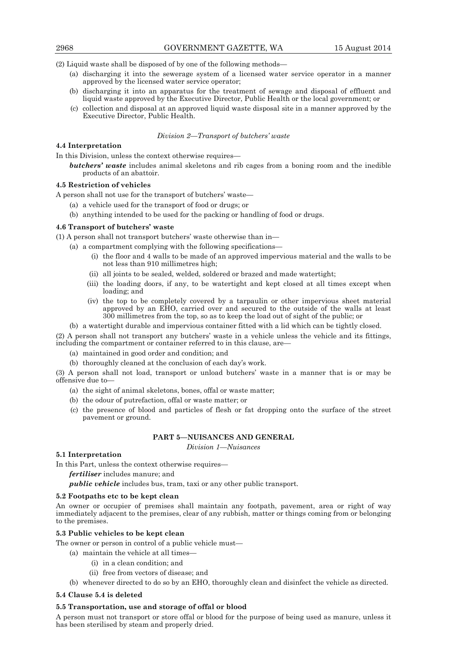(2) Liquid waste shall be disposed of by one of the following methods—

- (a) discharging it into the sewerage system of a licensed water service operator in a manner approved by the licensed water service operator;
- (b) discharging it into an apparatus for the treatment of sewage and disposal of effluent and liquid waste approved by the Executive Director, Public Health or the local government; or
- (c) collection and disposal at an approved liquid waste disposal site in a manner approved by the Executive Director, Public Health.

# *Division 2—Transport of butchers' waste*

# **4.4 Interpretation**

In this Division, unless the context otherwise requires—

*butchers' waste* includes animal skeletons and rib cages from a boning room and the inedible products of an abattoir.

# **4.5 Restriction of vehicles**

A person shall not use for the transport of butchers' waste—

- (a) a vehicle used for the transport of food or drugs; or
- (b) anything intended to be used for the packing or handling of food or drugs.

# **4.6 Transport of butchers' waste**

(1) A person shall not transport butchers' waste otherwise than in—

- (a) a compartment complying with the following specifications—
	- (i) the floor and 4 walls to be made of an approved impervious material and the walls to be not less than 910 millimetres high;
	- (ii) all joints to be sealed, welded, soldered or brazed and made watertight;
	- (iii) the loading doors, if any, to be watertight and kept closed at all times except when loading; and
	- (iv) the top to be completely covered by a tarpaulin or other impervious sheet material approved by an EHO, carried over and secured to the outside of the walls at least 300 millimetres from the top, so as to keep the load out of sight of the public; or
- (b) a watertight durable and impervious container fitted with a lid which can be tightly closed.

(2) A person shall not transport any butchers' waste in a vehicle unless the vehicle and its fittings, including the compartment or container referred to in this clause, are-

- (a) maintained in good order and condition; and
- (b) thoroughly cleaned at the conclusion of each day's work.

(3) A person shall not load, transport or unload butchers' waste in a manner that is or may be offensive due to—

- (a) the sight of animal skeletons, bones, offal or waste matter;
- (b) the odour of putrefaction, offal or waste matter; or
- (c) the presence of blood and particles of flesh or fat dropping onto the surface of the street pavement or ground.

# **PART 5—NUISANCES AND GENERAL**

*Division 1—Nuisances* 

# **5.1 Interpretation**

In this Part, unless the context otherwise requires—

*fertiliser* includes manure; and

*public vehicle* includes bus, tram, taxi or any other public transport.

#### **5.2 Footpaths etc to be kept clean**

An owner or occupier of premises shall maintain any footpath, pavement, area or right of way immediately adjacent to the premises, clear of any rubbish, matter or things coming from or belonging to the premises.

# **5.3 Public vehicles to be kept clean**

The owner or person in control of a public vehicle must—

- (a) maintain the vehicle at all times—
	- (i) in a clean condition; and
	- (ii) free from vectors of disease; and
- (b) whenever directed to do so by an EHO, thoroughly clean and disinfect the vehicle as directed.

#### **5.4 Clause 5.4 is deleted**

# **5.5 Transportation, use and storage of offal or blood**

A person must not transport or store offal or blood for the purpose of being used as manure, unless it has been sterilised by steam and properly dried.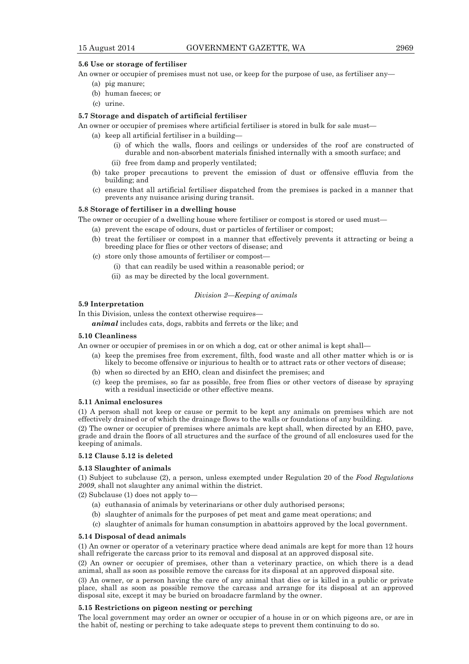# **5.6 Use or storage of fertiliser**

An owner or occupier of premises must not use, or keep for the purpose of use, as fertiliser any—

- (a) pig manure;
- (b) human faeces; or
- (c) urine.

# **5.7 Storage and dispatch of artificial fertiliser**

An owner or occupier of premises where artificial fertiliser is stored in bulk for sale must—

- (a) keep all artificial fertiliser in a building—
	- (i) of which the walls, floors and ceilings or undersides of the roof are constructed of durable and non-absorbent materials finished internally with a smooth surface; and
	- (ii) free from damp and properly ventilated;
- (b) take proper precautions to prevent the emission of dust or offensive effluvia from the building; and
- (c) ensure that all artificial fertiliser dispatched from the premises is packed in a manner that prevents any nuisance arising during transit.

#### **5.8 Storage of fertiliser in a dwelling house**

The owner or occupier of a dwelling house where fertiliser or compost is stored or used must—

- (a) prevent the escape of odours, dust or particles of fertiliser or compost;
- (b) treat the fertiliser or compost in a manner that effectively prevents it attracting or being a breeding place for flies or other vectors of disease; and
- (c) store only those amounts of fertiliser or compost—
	- (i) that can readily be used within a reasonable period; or
	- (ii) as may be directed by the local government.

#### *Division 2—Keeping of animals*

# **5.9 Interpretation**

In this Division, unless the context otherwise requires—

*animal* includes cats, dogs, rabbits and ferrets or the like; and

# **5.10 Cleanliness**

An owner or occupier of premises in or on which a dog, cat or other animal is kept shall—

- (a) keep the premises free from excrement, filth, food waste and all other matter which is or is likely to become offensive or injurious to health or to attract rats or other vectors of disease;
- (b) when so directed by an EHO, clean and disinfect the premises; and
- (c) keep the premises, so far as possible, free from flies or other vectors of disease by spraying with a residual insecticide or other effective means.

# **5.11 Animal enclosures**

(1) A person shall not keep or cause or permit to be kept any animals on premises which are not effectively drained or of which the drainage flows to the walls or foundations of any building.

(2) The owner or occupier of premises where animals are kept shall, when directed by an EHO, pave, grade and drain the floors of all structures and the surface of the ground of all enclosures used for the keeping of animals.

# **5.12 Clause 5.12 is deleted**

# **5.13 Slaughter of animals**

(1) Subject to subclause (2), a person, unless exempted under Regulation 20 of the *Food Regulations 2009*, shall not slaughter any animal within the district.

(2) Subclause (1) does not apply to—

- (a) euthanasia of animals by veterinarians or other duly authorised persons;
- (b) slaughter of animals for the purposes of pet meat and game meat operations; and
- (c) slaughter of animals for human consumption in abattoirs approved by the local government.

# **5.14 Disposal of dead animals**

(1) An owner or operator of a veterinary practice where dead animals are kept for more than 12 hours shall refrigerate the carcass prior to its removal and disposal at an approved disposal site.

(2) An owner or occupier of premises, other than a veterinary practice, on which there is a dead animal, shall as soon as possible remove the carcass for its disposal at an approved disposal site.

(3) An owner, or a person having the care of any animal that dies or is killed in a public or private place, shall as soon as possible remove the carcass and arrange for its disposal at an approved disposal site, except it may be buried on broadacre farmland by the owner.

#### **5.15 Restrictions on pigeon nesting or perching**

The local government may order an owner or occupier of a house in or on which pigeons are, or are in the habit of, nesting or perching to take adequate steps to prevent them continuing to do so.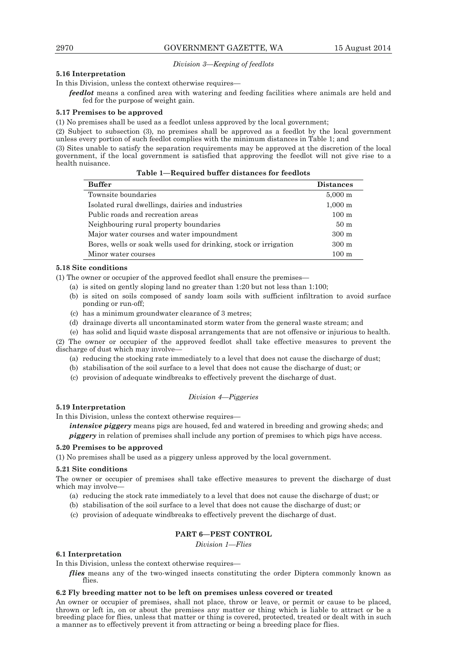# *Division 3—Keeping of feedlots*

# **5.16 Interpretation**

In this Division, unless the context otherwise requires—

*feedlot* means a confined area with watering and feeding facilities where animals are held and fed for the purpose of weight gain.

#### **5.17 Premises to be approved**

(1) No premises shall be used as a feedlot unless approved by the local government;

(2) Subject to subsection (3), no premises shall be approved as a feedlot by the local government unless every portion of such feedlot complies with the minimum distances in Table 1; and

(3) Sites unable to satisfy the separation requirements may be approved at the discretion of the local government, if the local government is satisfied that approving the feedlot will not give rise to a health nuisance.

| <b>Buffer</b>                                                     | <b>Distances</b>      |
|-------------------------------------------------------------------|-----------------------|
| Townsite boundaries                                               | $5,000 \; \mathrm{m}$ |
| Isolated rural dwellings, dairies and industries                  | $1,000 \; \mathrm{m}$ |
| Public roads and recreation areas                                 | $100 \text{ m}$       |
| Neighbouring rural property boundaries                            | 50 <sub>m</sub>       |
| Major water courses and water impoundment                         | $300 \text{ m}$       |
| Bores, wells or soak wells used for drinking, stock or irrigation | $300 \text{ m}$       |
| Minor water courses                                               | $100 \text{ m}$       |

# **5.18 Site conditions**

(1) The owner or occupier of the approved feedlot shall ensure the premises—

(a) is sited on gently sloping land no greater than 1:20 but not less than 1:100;

- (b) is sited on soils composed of sandy loam soils with sufficient infiltration to avoid surface ponding or run-off;
- (c) has a minimum groundwater clearance of 3 metres;
- (d) drainage diverts all uncontaminated storm water from the general waste stream; and
- (e) has solid and liquid waste disposal arrangements that are not offensive or injurious to health.

(2) The owner or occupier of the approved feedlot shall take effective measures to prevent the discharge of dust which may involve—

- (a) reducing the stocking rate immediately to a level that does not cause the discharge of dust;
- (b) stabilisation of the soil surface to a level that does not cause the discharge of dust; or
- (c) provision of adequate windbreaks to effectively prevent the discharge of dust.

#### *Division 4—Piggeries*

## **5.19 Interpretation**

In this Division, unless the context otherwise requires—

*intensive piggery* means pigs are housed, fed and watered in breeding and growing sheds; and *piggery* in relation of premises shall include any portion of premises to which pigs have access.

#### **5.20 Premises to be approved**

(1) No premises shall be used as a piggery unless approved by the local government.

# **5.21 Site conditions**

The owner or occupier of premises shall take effective measures to prevent the discharge of dust which may involve-

- (a) reducing the stock rate immediately to a level that does not cause the discharge of dust; or
- (b) stabilisation of the soil surface to a level that does not cause the discharge of dust; or
- (c) provision of adequate windbreaks to effectively prevent the discharge of dust.

# **PART 6—PEST CONTROL**

*Division 1—Flies* 

# **6.1 Interpretation**

In this Division, unless the context otherwise requires—

*flies* means any of the two-winged insects constituting the order Diptera commonly known as flies.

# **6.2 Fly breeding matter not to be left on premises unless covered or treated**

An owner or occupier of premises, shall not place, throw or leave, or permit or cause to be placed, thrown or left in, on or about the premises any matter or thing which is liable to attract or be a breeding place for flies, unless that matter or thing is covered, protected, treated or dealt with in such a manner as to effectively prevent it from attracting or being a breeding place for flies.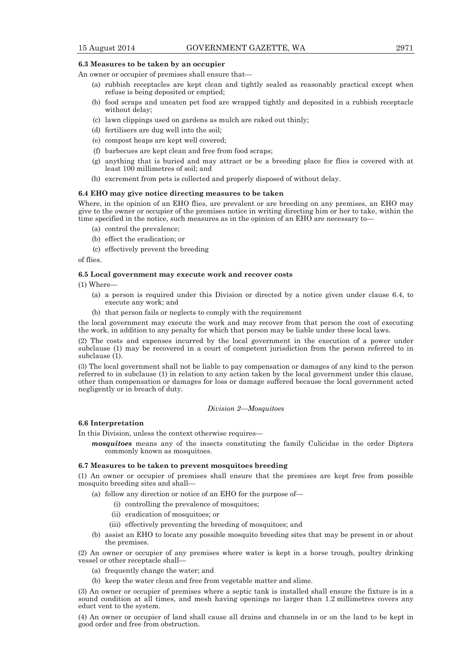#### **6.3 Measures to be taken by an occupier**

An owner or occupier of premises shall ensure that—

- (a) rubbish receptacles are kept clean and tightly sealed as reasonably practical except when refuse is being deposited or emptied;
- (b) food scraps and uneaten pet food are wrapped tightly and deposited in a rubbish receptacle without delay;
- (c) lawn clippings used on gardens as mulch are raked out thinly;
- (d) fertilisers are dug well into the soil;
- (e) compost heaps are kept well covered;
- (f) barbecues are kept clean and free from food scraps;
- (g) anything that is buried and may attract or be a breeding place for flies is covered with at least 100 millimetres of soil; and
- (h) excrement from pets is collected and properly disposed of without delay.

#### **6.4 EHO may give notice directing measures to be taken**

Where, in the opinion of an EHO flies, are prevalent or are breeding on any premises, an EHO may give to the owner or occupier of the premises notice in writing directing him or her to take, within the time specified in the notice, such measures as in the opinion of an EHO are necessary to—

- (a) control the prevalence;
- (b) effect the eradication; or
- (c) effectively prevent the breeding

of flies.

#### **6.5 Local government may execute work and recover costs**

(1) Where—

- (a) a person is required under this Division or directed by a notice given under clause 6.4, to execute any work; and
- (b) that person fails or neglects to comply with the requirement

the local government may execute the work and may recover from that person the cost of executing the work, in addition to any penalty for which that person may be liable under these local laws.

(2) The costs and expenses incurred by the local government in the execution of a power under subclause (1) may be recovered in a court of competent jurisdiction from the person referred to in subclause (1).

(3) The local government shall not be liable to pay compensation or damages of any kind to the person referred to in subclause (1) in relation to any action taken by the local government under this clause, other than compensation or damages for loss or damage suffered because the local government acted negligently or in breach of duty.

*Division 2—Mosquitoes* 

#### **6.6 Interpretation**

In this Division, unless the context otherwise requires—

*mosquitoes* means any of the insects constituting the family Culicidae in the order Diptera commonly known as mosquitoes.

#### **6.7 Measures to be taken to prevent mosquitoes breeding**

(1) An owner or occupier of premises shall ensure that the premises are kept free from possible mosquito breeding sites and shall—

- (a) follow any direction or notice of an EHO for the purpose of—
	- (i) controlling the prevalence of mosquitoes;
	- (ii) eradication of mosquitoes; or
	- (iii) effectively preventing the breeding of mosquitoes; and
- (b) assist an EHO to locate any possible mosquito breeding sites that may be present in or about the premises.

(2) An owner or occupier of any premises where water is kept in a horse trough, poultry drinking vessel or other receptacle shall—

- (a) frequently change the water; and
- (b) keep the water clean and free from vegetable matter and slime.

(3) An owner or occupier of premises where a septic tank is installed shall ensure the fixture is in a sound condition at all times, and mesh having openings no larger than 1.2 millimetres covers any educt vent to the system.

(4) An owner or occupier of land shall cause all drains and channels in or on the land to be kept in good order and free from obstruction.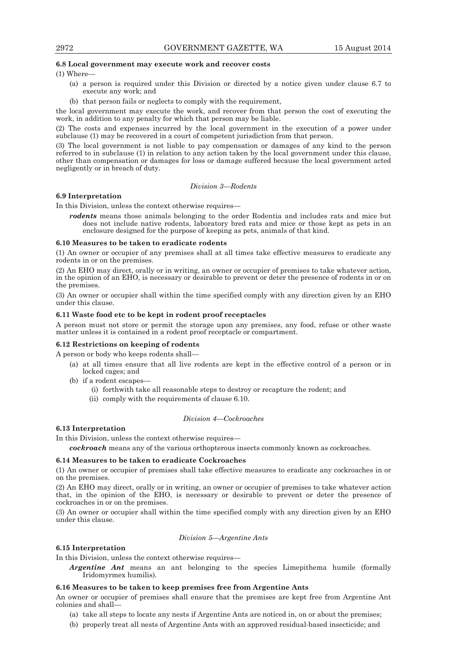# **6.8 Local government may execute work and recover costs**

(1) Where—

- (a) a person is required under this Division or directed by a notice given under clause 6.7 to execute any work; and
- (b) that person fails or neglects to comply with the requirement,

the local government may execute the work, and recover from that person the cost of executing the work, in addition to any penalty for which that person may be liable.

(2) The costs and expenses incurred by the local government in the execution of a power under subclause (1) may be recovered in a court of competent jurisdiction from that person.

(3) The local government is not liable to pay compensation or damages of any kind to the person referred to in subclause (1) in relation to any action taken by the local government under this clause, other than compensation or damages for loss or damage suffered because the local government acted negligently or in breach of duty.

*Division 3—Rodents* 

# **6.9 Interpretation**

In this Division, unless the context otherwise requires—

*rodents* means those animals belonging to the order Rodentia and includes rats and mice but does not include native rodents, laboratory bred rats and mice or those kept as pets in an enclosure designed for the purpose of keeping as pets, animals of that kind.

# **6.10 Measures to be taken to eradicate rodents**

(1) An owner or occupier of any premises shall at all times take effective measures to eradicate any rodents in or on the premises.

(2) An EHO may direct, orally or in writing, an owner or occupier of premises to take whatever action, in the opinion of an EHO, is necessary or desirable to prevent or deter the presence of rodents in or on the premises.

(3) An owner or occupier shall within the time specified comply with any direction given by an EHO under this clause.

# **6.11 Waste food etc to be kept in rodent proof receptacles**

A person must not store or permit the storage upon any premises, any food, refuse or other waste matter unless it is contained in a rodent proof receptacle or compartment.

# **6.12 Restrictions on keeping of rodents**

A person or body who keeps rodents shall—

- (a) at all times ensure that all live rodents are kept in the effective control of a person or in locked cages; and
- (b) if a rodent escapes—
	- (i) forthwith take all reasonable steps to destroy or recapture the rodent; and
	- (ii) comply with the requirements of clause 6.10.

# *Division 4—Cockroaches*

#### **6.13 Interpretation**

In this Division, unless the context otherwise requires—

*cockroach* means any of the various orthopterous insects commonly known as cockroaches.

# **6.14 Measures to be taken to eradicate Cockroaches**

(1) An owner or occupier of premises shall take effective measures to eradicate any cockroaches in or on the premises.

(2) An EHO may direct, orally or in writing, an owner or occupier of premises to take whatever action that, in the opinion of the EHO, is necessary or desirable to prevent or deter the presence of cockroaches in or on the premises.

(3) An owner or occupier shall within the time specified comply with any direction given by an EHO under this clause.

# *Division 5—Argentine Ants*

#### **6.15 Interpretation**

In this Division, unless the context otherwise requires—

*Argentine Ant* means an ant belonging to the species Limepithema humile (formally Iridomyrmex humilis).

# **6.16 Measures to be taken to keep premises free from Argentine Ants**

An owner or occupier of premises shall ensure that the premises are kept free from Argentine Ant colonies and shall—

- (a) take all steps to locate any nests if Argentine Ants are noticed in, on or about the premises;
- (b) properly treat all nests of Argentine Ants with an approved residual-based insecticide; and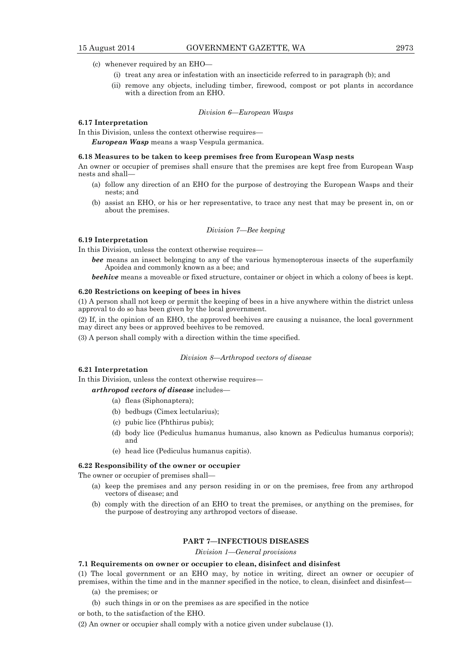- (c) whenever required by an EHO—
	- (i) treat any area or infestation with an insecticide referred to in paragraph (b); and
	- (ii) remove any objects, including timber, firewood, compost or pot plants in accordance with a direction from an EHO.

## *Division 6—European Wasps*

# **6.17 Interpretation**

In this Division, unless the context otherwise requires—

*European Wasp* means a wasp Vespula germanica.

#### **6.18 Measures to be taken to keep premises free from European Wasp nests**

An owner or occupier of premises shall ensure that the premises are kept free from European Wasp nests and shall—

- (a) follow any direction of an EHO for the purpose of destroying the European Wasps and their nests; and
- (b) assist an EHO, or his or her representative, to trace any nest that may be present in, on or about the premises.

### *Division 7—Bee keeping*

# **6.19 Interpretation**

In this Division, unless the context otherwise requires—

- *bee* means an insect belonging to any of the various hymenopterous insects of the superfamily Apoidea and commonly known as a bee; and
- *beehive* means a moveable or fixed structure, container or object in which a colony of bees is kept.

#### **6.20 Restrictions on keeping of bees in hives**

(1) A person shall not keep or permit the keeping of bees in a hive anywhere within the district unless approval to do so has been given by the local government.

(2) If, in the opinion of an EHO, the approved beehives are causing a nuisance, the local government may direct any bees or approved beehives to be removed.

(3) A person shall comply with a direction within the time specified.

#### *Division 8—Arthropod vectors of disease*

# **6.21 Interpretation**

In this Division, unless the context otherwise requires—

# *arthropod vectors of disease* includes—

- (a) fleas (Siphonaptera);
- (b) bedbugs (Cimex lectularius);
- (c) pubic lice (Phthirus pubis);
- (d) body lice (Pediculus humanus humanus, also known as Pediculus humanus corporis); and
- (e) head lice (Pediculus humanus capitis).

# **6.22 Responsibility of the owner or occupier**

The owner or occupier of premises shall—

- (a) keep the premises and any person residing in or on the premises, free from any arthropod vectors of disease; and
- (b) comply with the direction of an EHO to treat the premises, or anything on the premises, for the purpose of destroying any arthropod vectors of disease.

# **PART 7—INFECTIOUS DISEASES**

#### *Division 1—General provisions*

# **7.1 Requirements on owner or occupier to clean, disinfect and disinfest**

(1) The local government or an EHO may, by notice in writing, direct an owner or occupier of premises, within the time and in the manner specified in the notice, to clean, disinfect and disinfest—

- (a) the premises; or
- (b) such things in or on the premises as are specified in the notice

or both, to the satisfaction of the EHO.

(2) An owner or occupier shall comply with a notice given under subclause (1).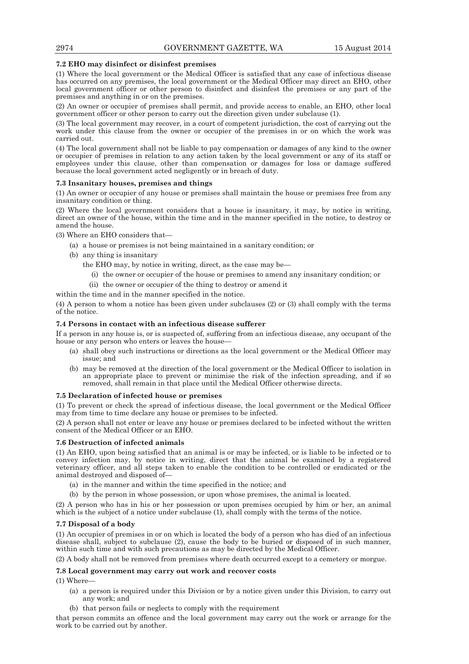# **7.2 EHO may disinfect or disinfest premises**

(1) Where the local government or the Medical Officer is satisfied that any case of infectious disease has occurred on any premises, the local government or the Medical Officer may direct an EHO, other local government officer or other person to disinfect and disinfest the premises or any part of the premises and anything in or on the premises.

(2) An owner or occupier of premises shall permit, and provide access to enable, an EHO, other local government officer or other person to carry out the direction given under subclause (1).

(3) The local government may recover, in a court of competent jurisdiction, the cost of carrying out the work under this clause from the owner or occupier of the premises in or on which the work was carried out.

(4) The local government shall not be liable to pay compensation or damages of any kind to the owner or occupier of premises in relation to any action taken by the local government or any of its staff or employees under this clause, other than compensation or damages for loss or damage suffered because the local government acted negligently or in breach of duty.

# **7.3 Insanitary houses, premises and things**

(1) An owner or occupier of any house or premises shall maintain the house or premises free from any insanitary condition or thing.

(2) Where the local government considers that a house is insanitary, it may, by notice in writing, direct an owner of the house, within the time and in the manner specified in the notice, to destroy or amend the house.

(3) Where an EHO considers that—

(a) a house or premises is not being maintained in a sanitary condition; or

(b) any thing is insanitary

the EHO may, by notice in writing, direct, as the case may be—

- (i) the owner or occupier of the house or premises to amend any insanitary condition; or
- (ii) the owner or occupier of the thing to destroy or amend it

within the time and in the manner specified in the notice.

(4) A person to whom a notice has been given under subclauses (2) or (3) shall comply with the terms of the notice.

# **7.4 Persons in contact with an infectious disease sufferer**

If a person in any house is, or is suspected of, suffering from an infectious disease, any occupant of the house or any person who enters or leaves the house—

- (a) shall obey such instructions or directions as the local government or the Medical Officer may issue; and
- (b) may be removed at the direction of the local government or the Medical Officer to isolation in an appropriate place to prevent or minimise the risk of the infection spreading, and if so removed, shall remain in that place until the Medical Officer otherwise directs.

#### **7.5 Declaration of infected house or premises**

(1) To prevent or check the spread of infectious disease, the local government or the Medical Officer may from time to time declare any house or premises to be infected.

(2) A person shall not enter or leave any house or premises declared to be infected without the written consent of the Medical Officer or an EHO.

# **7.6 Destruction of infected animals**

(1) An EHO, upon being satisfied that an animal is or may be infected, or is liable to be infected or to convey infection may, by notice in writing, direct that the animal be examined by a registered veterinary officer, and all steps taken to enable the condition to be controlled or eradicated or the animal destroyed and disposed of—

- (a) in the manner and within the time specified in the notice; and
- (b) by the person in whose possession, or upon whose premises, the animal is located.

(2) A person who has in his or her possession or upon premises occupied by him or her, an animal which is the subject of a notice under subclause (1), shall comply with the terms of the notice.

#### **7.7 Disposal of a body**

(1) An occupier of premises in or on which is located the body of a person who has died of an infectious disease shall, subject to subclause (2), cause the body to be buried or disposed of in such manner, within such time and with such precautions as may be directed by the Medical Officer.

(2) A body shall not be removed from premises where death occurred except to a cemetery or morgue.

#### **7.8 Local government may carry out work and recover costs**

(1) Where—

- (a) a person is required under this Division or by a notice given under this Division, to carry out any work; and
- (b) that person fails or neglects to comply with the requirement

that person commits an offence and the local government may carry out the work or arrange for the work to be carried out by another.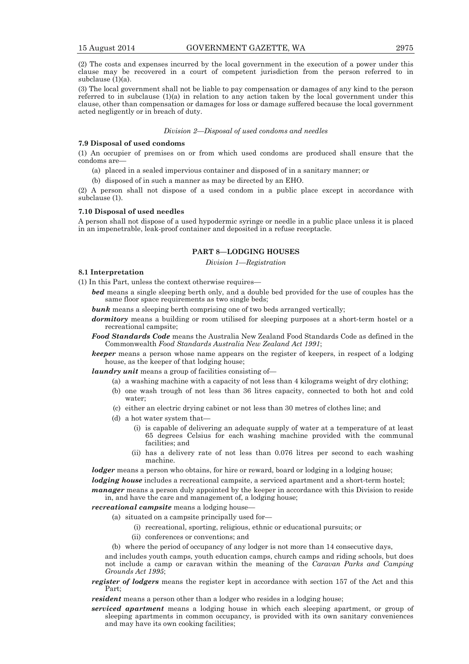(2) The costs and expenses incurred by the local government in the execution of a power under this clause may be recovered in a court of competent jurisdiction from the person referred to in subclause (1)(a).

(3) The local government shall not be liable to pay compensation or damages of any kind to the person referred to in subclause  $(1)(a)$  in relation to any action taken by the local government under this clause, other than compensation or damages for loss or damage suffered because the local government acted negligently or in breach of duty.

#### *Division 2—Disposal of used condoms and needles*

#### **7.9 Disposal of used condoms**

(1) An occupier of premises on or from which used condoms are produced shall ensure that the condoms are—

(a) placed in a sealed impervious container and disposed of in a sanitary manner; or

(b) disposed of in such a manner as may be directed by an EHO.

(2) A person shall not dispose of a used condom in a public place except in accordance with subclause (1).

#### **7.10 Disposal of used needles**

A person shall not dispose of a used hypodermic syringe or needle in a public place unless it is placed in an impenetrable, leak-proof container and deposited in a refuse receptacle.

#### **PART 8—LODGING HOUSES**

*Division 1—Registration* 

# **8.1 Interpretation**

(1) In this Part, unless the context otherwise requires—

- *bed* means a single sleeping berth only, and a double bed provided for the use of couples has the same floor space requirements as two single beds;
- **bunk** means a sleeping berth comprising one of two beds arranged vertically;
- *dormitory* means a building or room utilised for sleeping purposes at a short-term hostel or a recreational campsite;
- *Food Standards Code* means the Australia New Zealand Food Standards Code as defined in the Commonwealth *Food Standards Australia New Zealand Act 1991*;
- *keeper* means a person whose name appears on the register of keepers, in respect of a lodging house, as the keeper of that lodging house;

*laundry unit* means a group of facilities consisting of—

- (a) a washing machine with a capacity of not less than 4 kilograms weight of dry clothing;
- (b) one wash trough of not less than 36 litres capacity, connected to both hot and cold water;
- (c) either an electric drying cabinet or not less than 30 metres of clothes line; and
- $(d)$  a hot water system that-
	- (i) is capable of delivering an adequate supply of water at a temperature of at least 65 degrees Celsius for each washing machine provided with the communal facilities; and
	- (ii) has a delivery rate of not less than 0.076 litres per second to each washing machine.

*lodger* means a person who obtains, for hire or reward, board or lodging in a lodging house;

*lodging house* includes a recreational campsite, a serviced apartment and a short-term hostel;

*manager* means a person duly appointed by the keeper in accordance with this Division to reside in, and have the care and management of, a lodging house;

*recreational campsite* means a lodging house—

- (a) situated on a campsite principally used for—
	- (i) recreational, sporting, religious, ethnic or educational pursuits; or
	- (ii) conferences or conventions; and

(b) where the period of occupancy of any lodger is not more than 14 consecutive days,

and includes youth camps, youth education camps, church camps and riding schools, but does not include a camp or caravan within the meaning of the *Caravan Parks and Camping Grounds Act 1995*;

*register of lodgers* means the register kept in accordance with section 157 of the Act and this Part;

*resident* means a person other than a lodger who resides in a lodging house;

*serviced apartment* means a lodging house in which each sleeping apartment, or group of sleeping apartments in common occupancy, is provided with its own sanitary conveniences and may have its own cooking facilities;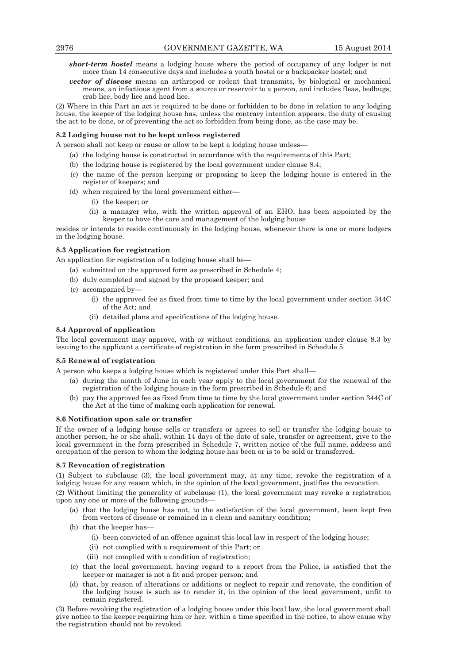- *short-term hostel* means a lodging house where the period of occupancy of any lodger is not more than 14 consecutive days and includes a youth hostel or a backpacker hostel; and
- *vector of disease* means an arthropod or rodent that transmits, by biological or mechanical means, an infectious agent from a source or reservoir to a person, and includes fleas, bedbugs, crab lice, body lice and head lice.

(2) Where in this Part an act is required to be done or forbidden to be done in relation to any lodging house, the keeper of the lodging house has, unless the contrary intention appears, the duty of causing the act to be done, or of preventing the act so forbidden from being done, as the case may be.

# **8.2 Lodging house not to be kept unless registered**

A person shall not keep or cause or allow to be kept a lodging house unless—

- (a) the lodging house is constructed in accordance with the requirements of this Part;
- (b) the lodging house is registered by the local government under clause 8.4;
- (c) the name of the person keeping or proposing to keep the lodging house is entered in the register of keepers; and
- (d) when required by the local government either—
	- (i) the keeper; or
	- (ii) a manager who, with the written approval of an EHO, has been appointed by the keeper to have the care and management of the lodging house

resides or intends to reside continuously in the lodging house, whenever there is one or more lodgers in the lodging house.

# **8.3 Application for registration**

An application for registration of a lodging house shall be—

- (a) submitted on the approved form as prescribed in Schedule 4;
- (b) duly completed and signed by the proposed keeper; and
- (c) accompanied by—
	- (i) the approved fee as fixed from time to time by the local government under section 344C of the Act; and
	- (ii) detailed plans and specifications of the lodging house.

# **8.4 Approval of application**

The local government may approve, with or without conditions, an application under clause 8.3 by issuing to the applicant a certificate of registration in the form prescribed in Schedule 5.

# **8.5 Renewal of registration**

A person who keeps a lodging house which is registered under this Part shall—

- (a) during the month of June in each year apply to the local government for the renewal of the registration of the lodging house in the form prescribed in Schedule 6; and
- (b) pay the approved fee as fixed from time to time by the local government under section 344C of the Act at the time of making each application for renewal.

#### **8.6 Notification upon sale or transfer**

If the owner of a lodging house sells or transfers or agrees to sell or transfer the lodging house to another person, he or she shall, within 14 days of the date of sale, transfer or agreement, give to the local government in the form prescribed in Schedule 7, written notice of the full name, address and occupation of the person to whom the lodging house has been or is to be sold or transferred.

#### **8.7 Revocation of registration**

(1) Subject to subclause (3), the local government may, at any time, revoke the registration of a lodging house for any reason which, in the opinion of the local government, justifies the revocation.

(2) Without limiting the generality of subclause (1), the local government may revoke a registration upon any one or more of the following grounds—

- (a) that the lodging house has not, to the satisfaction of the local government, been kept free from vectors of disease or remained in a clean and sanitary condition;
- (b) that the keeper has-
	- (i) been convicted of an offence against this local law in respect of the lodging house;
	- (ii) not complied with a requirement of this Part; or
	- (iii) not complied with a condition of registration;
- (c) that the local government, having regard to a report from the Police, is satisfied that the keeper or manager is not a fit and proper person; and
- (d) that, by reason of alterations or additions or neglect to repair and renovate, the condition of the lodging house is such as to render it, in the opinion of the local government, unfit to remain registered.

(3) Before revoking the registration of a lodging house under this local law, the local government shall give notice to the keeper requiring him or her, within a time specified in the notice, to show cause why the registration should not be revoked.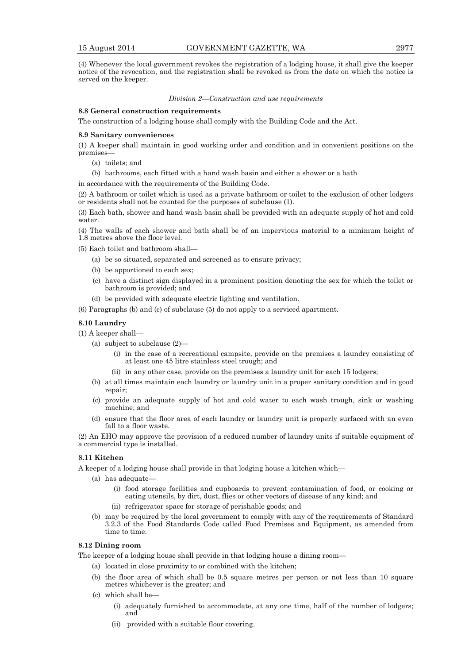(4) Whenever the local government revokes the registration of a lodging house, it shall give the keeper notice of the revocation, and the registration shall be revoked as from the date on which the notice is served on the keeper.

#### *Division 2—Construction and use requirements*

# **8.8 General construction requirements**

The construction of a lodging house shall comply with the Building Code and the Act.

#### **8.9 Sanitary conveniences**

(1) A keeper shall maintain in good working order and condition and in convenient positions on the premises

- (a) toilets; and
- (b) bathrooms, each fitted with a hand wash basin and either a shower or a bath

in accordance with the requirements of the Building Code.

(2) A bathroom or toilet which is used as a private bathroom or toilet to the exclusion of other lodgers or residents shall not be counted for the purposes of subclause (1).

(3) Each bath, shower and hand wash basin shall be provided with an adequate supply of hot and cold water.

(4) The walls of each shower and bath shall be of an impervious material to a minimum height of 1.8 metres above the floor level.

- (5) Each toilet and bathroom shall—
	- (a) be so situated, separated and screened as to ensure privacy;
	- (b) be apportioned to each sex;
	- (c) have a distinct sign displayed in a prominent position denoting the sex for which the toilet or bathroom is provided; and
	- (d) be provided with adequate electric lighting and ventilation.

(6) Paragraphs (b) and (c) of subclause (5) do not apply to a serviced apartment.

# **8.10 Laundry**

- (1) A keeper shall—
	- (a) subject to subclause (2)—
		- (i) in the case of a recreational campsite, provide on the premises a laundry consisting of at least one 45 litre stainless steel trough; and
		- (ii) in any other case, provide on the premises a laundry unit for each 15 lodgers;
	- (b) at all times maintain each laundry or laundry unit in a proper sanitary condition and in good repair;
	- (c) provide an adequate supply of hot and cold water to each wash trough, sink or washing machine; and
	- (d) ensure that the floor area of each laundry or laundry unit is properly surfaced with an even fall to a floor waste.

(2) An EHO may approve the provision of a reduced number of laundry units if suitable equipment of a commercial type is installed.

# **8.11 Kitchen**

A keeper of a lodging house shall provide in that lodging house a kitchen which—

- (a) has adequate—
	- (i) food storage facilities and cupboards to prevent contamination of food, or cooking or eating utensils, by dirt, dust, flies or other vectors of disease of any kind; and
	- (ii) refrigerator space for storage of perishable goods; and
- (b) may be required by the local government to comply with any of the requirements of Standard 3.2.3 of the Food Standards Code called Food Premises and Equipment, as amended from time to time.

# **8.12 Dining room**

The keeper of a lodging house shall provide in that lodging house a dining room—

- (a) located in close proximity to or combined with the kitchen;
- (b) the floor area of which shall be 0.5 square metres per person or not less than 10 square metres whichever is the greater; and
- (c) which shall be—
	- (i) adequately furnished to accommodate, at any one time, half of the number of lodgers; and
	- (ii) provided with a suitable floor covering.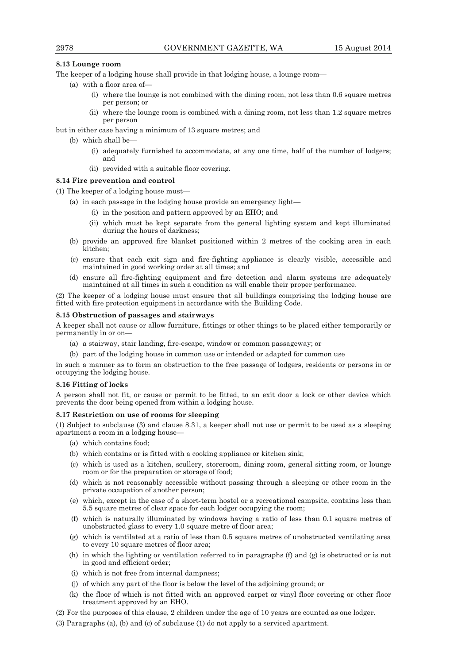# **8.13 Lounge room**

The keeper of a lodging house shall provide in that lodging house, a lounge room—

- (a) with a floor area of—
	- (i) where the lounge is not combined with the dining room, not less than 0.6 square metres per person; or
	- (ii) where the lounge room is combined with a dining room, not less than 1.2 square metres per person

but in either case having a minimum of 13 square metres; and

- (b) which shall be-
	- (i) adequately furnished to accommodate, at any one time, half of the number of lodgers; and
	- (ii) provided with a suitable floor covering.

# **8.14 Fire prevention and control**

(1) The keeper of a lodging house must—

- (a) in each passage in the lodging house provide an emergency light—
	- (i) in the position and pattern approved by an EHO; and
	- (ii) which must be kept separate from the general lighting system and kept illuminated during the hours of darkness;
- (b) provide an approved fire blanket positioned within 2 metres of the cooking area in each kitchen;
- (c) ensure that each exit sign and fire-fighting appliance is clearly visible, accessible and maintained in good working order at all times; and
- (d) ensure all fire-fighting equipment and fire detection and alarm systems are adequately maintained at all times in such a condition as will enable their proper performance.

(2) The keeper of a lodging house must ensure that all buildings comprising the lodging house are fitted with fire protection equipment in accordance with the Building Code.

# **8.15 Obstruction of passages and stairways**

A keeper shall not cause or allow furniture, fittings or other things to be placed either temporarily or permanently in or on—

- (a) a stairway, stair landing, fire-escape, window or common passageway; or
- (b) part of the lodging house in common use or intended or adapted for common use

in such a manner as to form an obstruction to the free passage of lodgers, residents or persons in or occupying the lodging house.

# **8.16 Fitting of locks**

A person shall not fit, or cause or permit to be fitted, to an exit door a lock or other device which prevents the door being opened from within a lodging house.

# **8.17 Restriction on use of rooms for sleeping**

(1) Subject to subclause (3) and clause 8.31, a keeper shall not use or permit to be used as a sleeping apartment a room in a lodging house—

- (a) which contains food;
- (b) which contains or is fitted with a cooking appliance or kitchen sink;
- (c) which is used as a kitchen, scullery, storeroom, dining room, general sitting room, or lounge room or for the preparation or storage of food;
- (d) which is not reasonably accessible without passing through a sleeping or other room in the private occupation of another person;
- (e) which, except in the case of a short-term hostel or a recreational campsite, contains less than 5.5 square metres of clear space for each lodger occupying the room;
- (f) which is naturally illuminated by windows having a ratio of less than 0.1 square metres of unobstructed glass to every 1.0 square metre of floor area;
- (g) which is ventilated at a ratio of less than 0.5 square metres of unobstructed ventilating area to every 10 square metres of floor area;
- (h) in which the lighting or ventilation referred to in paragraphs (f) and (g) is obstructed or is not in good and efficient order;
- (i) which is not free from internal dampness;
- (j) of which any part of the floor is below the level of the adjoining ground; or
- (k) the floor of which is not fitted with an approved carpet or vinyl floor covering or other floor treatment approved by an EHO.
- (2) For the purposes of this clause, 2 children under the age of 10 years are counted as one lodger.
- (3) Paragraphs (a), (b) and (c) of subclause (1) do not apply to a serviced apartment.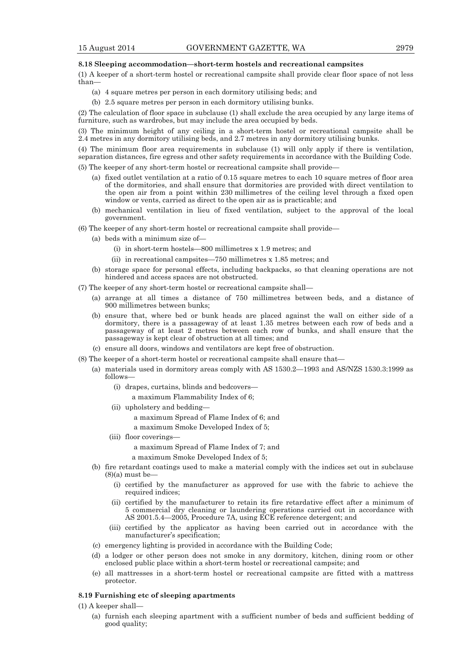#### **8.18 Sleeping accommodation—short-term hostels and recreational campsites**

(1) A keeper of a short-term hostel or recreational campsite shall provide clear floor space of not less than—

- (a) 4 square metres per person in each dormitory utilising beds; and
- (b) 2.5 square metres per person in each dormitory utilising bunks.

(2) The calculation of floor space in subclause (1) shall exclude the area occupied by any large items of furniture, such as wardrobes, but may include the area occupied by beds.

(3) The minimum height of any ceiling in a short-term hostel or recreational campsite shall be 2.4 metres in any dormitory utilising beds, and 2.7 metres in any dormitory utilising bunks.

(4) The minimum floor area requirements in subclause (1) will only apply if there is ventilation, separation distances, fire egress and other safety requirements in accordance with the Building Code.

(5) The keeper of any short-term hostel or recreational campsite shall provide—

- (a) fixed outlet ventilation at a ratio of 0.15 square metres to each 10 square metres of floor area of the dormitories, and shall ensure that dormitories are provided with direct ventilation to the open air from a point within 230 millimetres of the ceiling level through a fixed open window or vents, carried as direct to the open air as is practicable; and
- (b) mechanical ventilation in lieu of fixed ventilation, subject to the approval of the local government.
- (6) The keeper of any short-term hostel or recreational campsite shall provide—
	- (a) beds with a minimum size of—
		- (i) in short-term hostels—800 millimetres x 1.9 metres; and
		- (ii) in recreational campsites—750 millimetres x 1.85 metres; and
	- (b) storage space for personal effects, including backpacks, so that cleaning operations are not hindered and access spaces are not obstructed.
- (7) The keeper of any short-term hostel or recreational campsite shall—
	- (a) arrange at all times a distance of 750 millimetres between beds, and a distance of 900 millimetres between bunks;
	- (b) ensure that, where bed or bunk heads are placed against the wall on either side of a dormitory, there is a passageway of at least  $1.35$  metres between each row of beds and a passageway of at least 2 metres between each row of bunks, and shall ensure that the passageway is kept clear of obstruction at all times; and
	- (c) ensure all doors, windows and ventilators are kept free of obstruction.
- (8) The keeper of a short-term hostel or recreational campsite shall ensure that—
	- (a) materials used in dormitory areas comply with AS 1530.2—1993 and AS/NZS 1530.3:1999 as follows—
		- (i) drapes, curtains, blinds and bedcovers a maximum Flammability Index of 6;
		- (ii) upholstery and bedding
			- a maximum Spread of Flame Index of 6; and
			- a maximum Smoke Developed Index of 5;
		- (iii) floor coverings—

a maximum Spread of Flame Index of 7; and

a maximum Smoke Developed Index of 5;

- (b) fire retardant coatings used to make a material comply with the indices set out in subclause  $(8)(a)$  must be-
	- (i) certified by the manufacturer as approved for use with the fabric to achieve the required indices;
	- (ii) certified by the manufacturer to retain its fire retardative effect after a minimum of 5 commercial dry cleaning or laundering operations carried out in accordance with AS 2001.5.4—2005, Procedure 7A, using ECE reference detergent; and
	- (iii) certified by the applicator as having been carried out in accordance with the manufacturer's specification;
- (c) emergency lighting is provided in accordance with the Building Code;
- (d) a lodger or other person does not smoke in any dormitory, kitchen, dining room or other enclosed public place within a short-term hostel or recreational campsite; and
- (e) all mattresses in a short-term hostel or recreational campsite are fitted with a mattress protector.

# **8.19 Furnishing etc of sleeping apartments**

- (1) A keeper shall—
	- (a) furnish each sleeping apartment with a sufficient number of beds and sufficient bedding of good quality;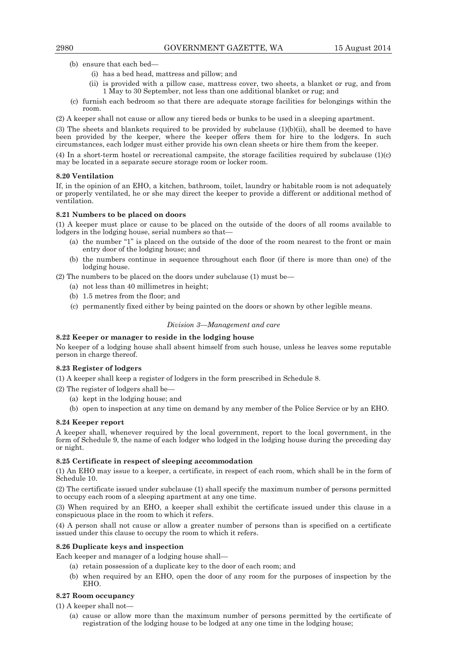- (b) ensure that each bed—
	- (i) has a bed head, mattress and pillow; and
	- (ii) is provided with a pillow case, mattress cover, two sheets, a blanket or rug, and from 1 May to 30 September, not less than one additional blanket or rug; and
- (c) furnish each bedroom so that there are adequate storage facilities for belongings within the room.
- (2) A keeper shall not cause or allow any tiered beds or bunks to be used in a sleeping apartment.

(3) The sheets and blankets required to be provided by subclause  $(1)(b)(ii)$ , shall be deemed to have been provided by the keeper, where the keeper offers them for hire to the lodgers. In such circumstances, each lodger must either provide his own clean sheets or hire them from the keeper.

(4) In a short-term hostel or recreational campsite, the storage facilities required by subclause (1)(c) may be located in a separate secure storage room or locker room.

# **8.20 Ventilation**

If, in the opinion of an EHO, a kitchen, bathroom, toilet, laundry or habitable room is not adequately or properly ventilated, he or she may direct the keeper to provide a different or additional method of ventilation.

# **8.21 Numbers to be placed on doors**

(1) A keeper must place or cause to be placed on the outside of the doors of all rooms available to lodgers in the lodging house, serial numbers so that—

- (a) the number "1" is placed on the outside of the door of the room nearest to the front or main entry door of the lodging house; and
- (b) the numbers continue in sequence throughout each floor (if there is more than one) of the lodging house.

(2) The numbers to be placed on the doors under subclause (1) must be—

- (a) not less than 40 millimetres in height;
- (b) 1.5 metres from the floor; and
- (c) permanently fixed either by being painted on the doors or shown by other legible means.

#### *Division 3—Management and care*

# **8.22 Keeper or manager to reside in the lodging house**

No keeper of a lodging house shall absent himself from such house, unless he leaves some reputable person in charge thereof.

# **8.23 Register of lodgers**

(1) A keeper shall keep a register of lodgers in the form prescribed in Schedule 8.

- (2) The register of lodgers shall be—
	- (a) kept in the lodging house; and
	- (b) open to inspection at any time on demand by any member of the Police Service or by an EHO.

# **8.24 Keeper report**

A keeper shall, whenever required by the local government, report to the local government, in the form of Schedule 9, the name of each lodger who lodged in the lodging house during the preceding day or night.

# **8.25 Certificate in respect of sleeping accommodation**

(1) An EHO may issue to a keeper, a certificate, in respect of each room, which shall be in the form of Schedule 10.

(2) The certificate issued under subclause (1) shall specify the maximum number of persons permitted to occupy each room of a sleeping apartment at any one time.

(3) When required by an EHO, a keeper shall exhibit the certificate issued under this clause in a conspicuous place in the room to which it refers.

(4) A person shall not cause or allow a greater number of persons than is specified on a certificate issued under this clause to occupy the room to which it refers.

# **8.26 Duplicate keys and inspection**

Each keeper and manager of a lodging house shall—

- (a) retain possession of a duplicate key to the door of each room; and
- (b) when required by an EHO, open the door of any room for the purposes of inspection by the EHO.

# **8.27 Room occupancy**

(1) A keeper shall not—

 (a) cause or allow more than the maximum number of persons permitted by the certificate of registration of the lodging house to be lodged at any one time in the lodging house;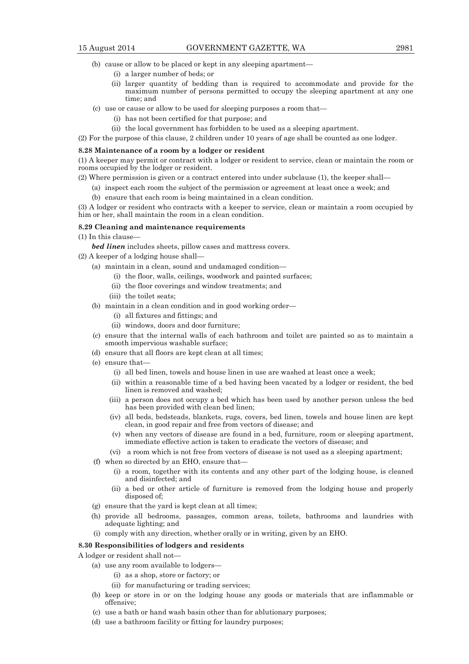- (b) cause or allow to be placed or kept in any sleeping apartment—
	- (i) a larger number of beds; or
	- (ii) larger quantity of bedding than is required to accommodate and provide for the maximum number of persons permitted to occupy the sleeping apartment at any one time; and
- (c) use or cause or allow to be used for sleeping purposes a room that—
	- (i) has not been certified for that purpose; and
	- (ii) the local government has forbidden to be used as a sleeping apartment.

(2) For the purpose of this clause, 2 children under 10 years of age shall be counted as one lodger.

#### **8.28 Maintenance of a room by a lodger or resident**

(1) A keeper may permit or contract with a lodger or resident to service, clean or maintain the room or rooms occupied by the lodger or resident.

(2) Where permission is given or a contract entered into under subclause (1), the keeper shall—

- (a) inspect each room the subject of the permission or agreement at least once a week; and
- (b) ensure that each room is being maintained in a clean condition.

(3) A lodger or resident who contracts with a keeper to service, clean or maintain a room occupied by him or her, shall maintain the room in a clean condition.

#### **8.29 Cleaning and maintenance requirements**

- (1) In this clause
	- *bed linen* includes sheets, pillow cases and mattress covers.

(2) A keeper of a lodging house shall—

- (a) maintain in a clean, sound and undamaged condition—
	- (i) the floor, walls, ceilings, woodwork and painted surfaces;
	- (ii) the floor coverings and window treatments; and
	- (iii) the toilet seats;
- (b) maintain in a clean condition and in good working order—
	- (i) all fixtures and fittings; and
	- (ii) windows, doors and door furniture;
- (c) ensure that the internal walls of each bathroom and toilet are painted so as to maintain a smooth impervious washable surface;
- (d) ensure that all floors are kept clean at all times;
- (e) ensure that—
	- (i) all bed linen, towels and house linen in use are washed at least once a week;
	- (ii) within a reasonable time of a bed having been vacated by a lodger or resident, the bed linen is removed and washed;
	- (iii) a person does not occupy a bed which has been used by another person unless the bed has been provided with clean bed linen;
	- (iv) all beds, bedsteads, blankets, rugs, covers, bed linen, towels and house linen are kept clean, in good repair and free from vectors of disease; and
	- (v) when any vectors of disease are found in a bed, furniture, room or sleeping apartment, immediate effective action is taken to eradicate the vectors of disease; and
	- (vi) a room which is not free from vectors of disease is not used as a sleeping apartment;
- (f) when so directed by an EHO, ensure that—
	- (i) a room, together with its contents and any other part of the lodging house, is cleaned and disinfected; and
	- (ii) a bed or other article of furniture is removed from the lodging house and properly disposed of;
- (g) ensure that the yard is kept clean at all times;
- (h) provide all bedrooms, passages, common areas, toilets, bathrooms and laundries with adequate lighting; and
- (i) comply with any direction, whether orally or in writing, given by an EHO.

# **8.30 Responsibilities of lodgers and residents**

A lodger or resident shall not—

- (a) use any room available to lodgers—
	- (i) as a shop, store or factory; or
	- (ii) for manufacturing or trading services;
- (b) keep or store in or on the lodging house any goods or materials that are inflammable or offensive;
- (c) use a bath or hand wash basin other than for ablutionary purposes;
- (d) use a bathroom facility or fitting for laundry purposes;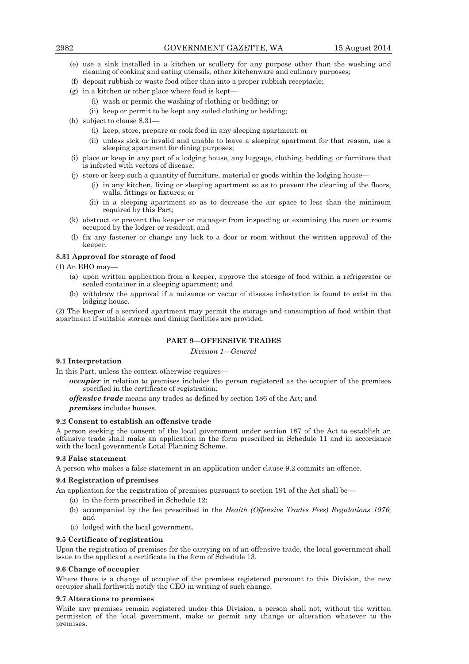- (e) use a sink installed in a kitchen or scullery for any purpose other than the washing and cleaning of cooking and eating utensils, other kitchenware and culinary purposes;
- (f) deposit rubbish or waste food other than into a proper rubbish receptacle;
- (g) in a kitchen or other place where food is kept—
	- (i) wash or permit the washing of clothing or bedding; or
	- (ii) keep or permit to be kept any soiled clothing or bedding;
- (h) subject to clause 8.31—
	- (i) keep, store, prepare or cook food in any sleeping apartment; or
	- (ii) unless sick or invalid and unable to leave a sleeping apartment for that reason, use a sleeping apartment for dining purposes;
- (i) place or keep in any part of a lodging house, any luggage, clothing, bedding, or furniture that is infested with vectors of disease;
- (j) store or keep such a quantity of furniture, material or goods within the lodging house—
	- (i) in any kitchen, living or sleeping apartment so as to prevent the cleaning of the floors, walls, fittings or fixtures; or
	- (ii) in a sleeping apartment so as to decrease the air space to less than the minimum required by this Part;
- (k) obstruct or prevent the keeper or manager from inspecting or examining the room or rooms occupied by the lodger or resident; and
- (l) fix any fastener or change any lock to a door or room without the written approval of the keeper.

# **8.31 Approval for storage of food**

(1) An EHO may—

- (a) upon written application from a keeper, approve the storage of food within a refrigerator or sealed container in a sleeping apartment; and
- (b) withdraw the approval if a nuisance or vector of disease infestation is found to exist in the lodging house.

(2) The keeper of a serviced apartment may permit the storage and consumption of food within that apartment if suitable storage and dining facilities are provided.

# **PART 9—OFFENSIVE TRADES**

*Division 1—General* 

# **9.1 Interpretation**

In this Part, unless the context otherwise requires—

*occupier* in relation to premises includes the person registered as the occupier of the premises specified in the certificate of registration;

*offensive trade* means any trades as defined by section 186 of the Act; and

*premises* includes houses.

# **9.2 Consent to establish an offensive trade**

A person seeking the consent of the local government under section 187 of the Act to establish an offensive trade shall make an application in the form prescribed in Schedule 11 and in accordance with the local government's Local Planning Scheme.

#### **9.3 False statement**

A person who makes a false statement in an application under clause 9.2 commits an offence.

#### **9.4 Registration of premises**

An application for the registration of premises pursuant to section 191 of the Act shall be—

- (a) in the form prescribed in Schedule 12;
- (b) accompanied by the fee prescribed in the *Health (Offensive Trades Fees) Regulations 1976*; and
- (c) lodged with the local government.

# **9.5 Certificate of registration**

Upon the registration of premises for the carrying on of an offensive trade, the local government shall issue to the applicant a certificate in the form of Schedule 13.

# **9.6 Change of occupier**

Where there is a change of occupier of the premises registered pursuant to this Division, the new occupier shall forthwith notify the CEO in writing of such change.

#### **9.7 Alterations to premises**

While any premises remain registered under this Division, a person shall not, without the written permission of the local government, make or permit any change or alteration whatever to the premises.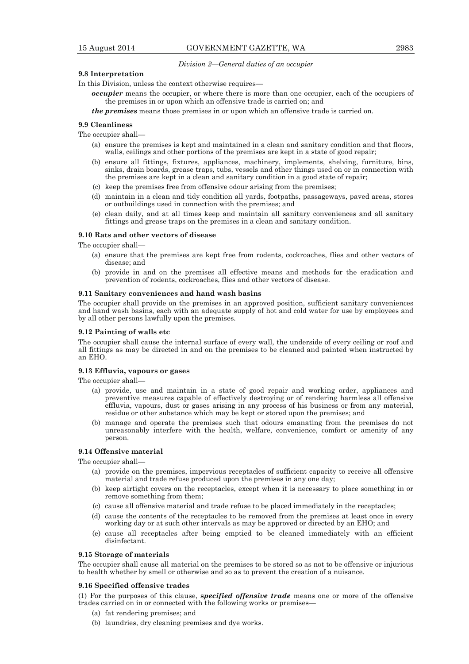#### *Division 2—General duties of an occupier*

# **9.8 Interpretation**

In this Division, unless the context otherwise requires—

*occupier* means the occupier, or where there is more than one occupier, each of the occupiers of the premises in or upon which an offensive trade is carried on; and

*the premises* means those premises in or upon which an offensive trade is carried on.

# **9.9 Cleanliness**

The occupier shall—

- (a) ensure the premises is kept and maintained in a clean and sanitary condition and that floors, walls, ceilings and other portions of the premises are kept in a state of good repair;
- (b) ensure all fittings, fixtures, appliances, machinery, implements, shelving, furniture, bins, sinks, drain boards, grease traps, tubs, vessels and other things used on or in connection with the premises are kept in a clean and sanitary condition in a good state of repair;
- (c) keep the premises free from offensive odour arising from the premises;
- (d) maintain in a clean and tidy condition all yards, footpaths, passageways, paved areas, stores or outbuildings used in connection with the premises; and
- (e) clean daily, and at all times keep and maintain all sanitary conveniences and all sanitary fittings and grease traps on the premises in a clean and sanitary condition.

#### **9.10 Rats and other vectors of disease**

The occupier shall—

- (a) ensure that the premises are kept free from rodents, cockroaches, flies and other vectors of disease; and
- (b) provide in and on the premises all effective means and methods for the eradication and prevention of rodents, cockroaches, flies and other vectors of disease.

#### **9.11 Sanitary conveniences and hand wash basins**

The occupier shall provide on the premises in an approved position, sufficient sanitary conveniences and hand wash basins, each with an adequate supply of hot and cold water for use by employees and by all other persons lawfully upon the premises.

# **9.12 Painting of walls etc**

The occupier shall cause the internal surface of every wall, the underside of every ceiling or roof and all fittings as may be directed in and on the premises to be cleaned and painted when instructed by an EHO.

# **9.13 Effluvia, vapours or gases**

The occupier shall—

- (a) provide, use and maintain in a state of good repair and working order, appliances and preventive measures capable of effectively destroying or of rendering harmless all offensive effluvia, vapours, dust or gases arising in any process of his business or from any material, residue or other substance which may be kept or stored upon the premises; and
- (b) manage and operate the premises such that odours emanating from the premises do not unreasonably interfere with the health, welfare, convenience, comfort or amenity of any person.

# **9.14 Offensive material**

The occupier shall—

- (a) provide on the premises, impervious receptacles of sufficient capacity to receive all offensive material and trade refuse produced upon the premises in any one day;
- (b) keep airtight covers on the receptacles, except when it is necessary to place something in or remove something from them;
- (c) cause all offensive material and trade refuse to be placed immediately in the receptacles;
- (d) cause the contents of the receptacles to be removed from the premises at least once in every working day or at such other intervals as may be approved or directed by an EHO; and
- (e) cause all receptacles after being emptied to be cleaned immediately with an efficient disinfectant.

### **9.15 Storage of materials**

The occupier shall cause all material on the premises to be stored so as not to be offensive or injurious to health whether by smell or otherwise and so as to prevent the creation of a nuisance.

#### **9.16 Specified offensive trades**

(1) For the purposes of this clause, **s***pecified offensive trade* means one or more of the offensive trades carried on in or connected with the following works or premises—

- (a) fat rendering premises; and
- (b) laundries, dry cleaning premises and dye works.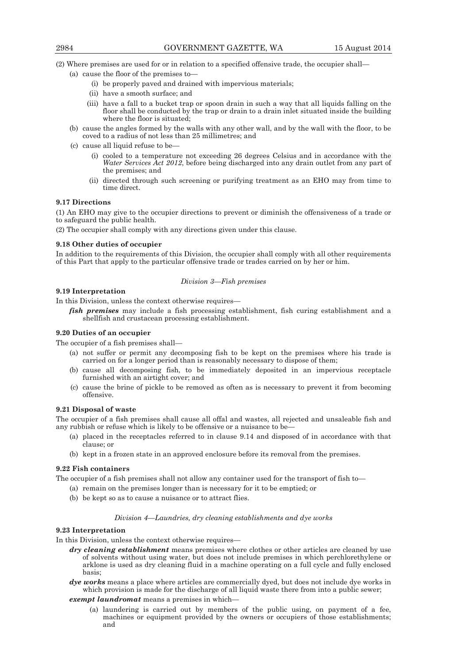(2) Where premises are used for or in relation to a specified offensive trade, the occupier shall—

- (a) cause the floor of the premises to—
	- (i) be properly paved and drained with impervious materials;
	- (ii) have a smooth surface; and
	- (iii) have a fall to a bucket trap or spoon drain in such a way that all liquids falling on the floor shall be conducted by the trap or drain to a drain inlet situated inside the building where the floor is situated;
- (b) cause the angles formed by the walls with any other wall, and by the wall with the floor, to be coved to a radius of not less than 25 millimetres; and
- (c) cause all liquid refuse to be—
	- (i) cooled to a temperature not exceeding 26 degrees Celsius and in accordance with the *Water Services Act 2012*, before being discharged into any drain outlet from any part of the premises; and
	- (ii) directed through such screening or purifying treatment as an EHO may from time to time direct.

# **9.17 Directions**

(1) An EHO may give to the occupier directions to prevent or diminish the offensiveness of a trade or to safeguard the public health.

(2) The occupier shall comply with any directions given under this clause.

#### **9.18 Other duties of occupier**

In addition to the requirements of this Division, the occupier shall comply with all other requirements of this Part that apply to the particular offensive trade or trades carried on by her or him.

# *Division 3—Fish premises*

# **9.19 Interpretation**

In this Division, unless the context otherwise requires—

*fish premises* may include a fish processing establishment, fish curing establishment and a shellfish and crustacean processing establishment.

# **9.20 Duties of an occupier**

The occupier of a fish premises shall—

- (a) not suffer or permit any decomposing fish to be kept on the premises where his trade is carried on for a longer period than is reasonably necessary to dispose of them;
- (b) cause all decomposing fish, to be immediately deposited in an impervious receptacle furnished with an airtight cover; and
- (c) cause the brine of pickle to be removed as often as is necessary to prevent it from becoming offensive.

# **9.21 Disposal of waste**

The occupier of a fish premises shall cause all offal and wastes, all rejected and unsaleable fish and any rubbish or refuse which is likely to be offensive or a nuisance to be-

- (a) placed in the receptacles referred to in clause 9.14 and disposed of in accordance with that clause; or
- (b) kept in a frozen state in an approved enclosure before its removal from the premises.

# **9.22 Fish containers**

The occupier of a fish premises shall not allow any container used for the transport of fish to—

- (a) remain on the premises longer than is necessary for it to be emptied; or
- (b) be kept so as to cause a nuisance or to attract flies.

#### *Division 4—Laundries, dry cleaning establishments and dye works*

#### **9.23 Interpretation**

In this Division, unless the context otherwise requires-

- *dry cleaning establishment* means premises where clothes or other articles are cleaned by use of solvents without using water, but does not include premises in which perchlorethylene or arklone is used as dry cleaning fluid in a machine operating on a full cycle and fully enclosed basis;
- *dye works* means a place where articles are commercially dyed, but does not include dye works in which provision is made for the discharge of all liquid waste there from into a public sewer;

*exempt laundromat* means a premises in which—

 (a) laundering is carried out by members of the public using, on payment of a fee, machines or equipment provided by the owners or occupiers of those establishments; and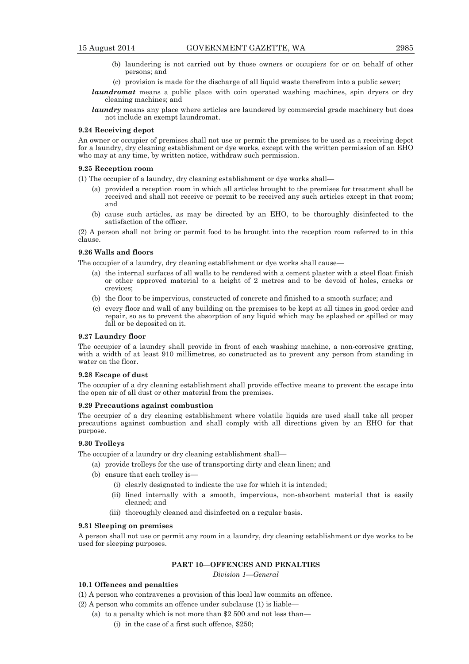- (b) laundering is not carried out by those owners or occupiers for or on behalf of other persons; and
- (c) provision is made for the discharge of all liquid waste therefrom into a public sewer;
- *laundromat* means a public place with coin operated washing machines, spin dryers or dry cleaning machines; and
- *laundry* means any place where articles are laundered by commercial grade machinery but does not include an exempt laundromat.

# **9.24 Receiving depot**

An owner or occupier of premises shall not use or permit the premises to be used as a receiving depot for a laundry, dry cleaning establishment or dye works, except with the written permission of an EHO who may at any time, by written notice, withdraw such permission.

# **9.25 Reception room**

(1) The occupier of a laundry, dry cleaning establishment or dye works shall—

- (a) provided a reception room in which all articles brought to the premises for treatment shall be received and shall not receive or permit to be received any such articles except in that room; and
- (b) cause such articles, as may be directed by an EHO, to be thoroughly disinfected to the satisfaction of the officer.

(2) A person shall not bring or permit food to be brought into the reception room referred to in this clause.

#### **9.26 Walls and floors**

The occupier of a laundry, dry cleaning establishment or dye works shall cause—

- (a) the internal surfaces of all walls to be rendered with a cement plaster with a steel float finish or other approved material to a height of 2 metres and to be devoid of holes, cracks or crevices;
- (b) the floor to be impervious, constructed of concrete and finished to a smooth surface; and
- (c) every floor and wall of any building on the premises to be kept at all times in good order and repair, so as to prevent the absorption of any liquid which may be splashed or spilled or may fall or be deposited on it.

# **9.27 Laundry floor**

The occupier of a laundry shall provide in front of each washing machine, a non-corrosive grating, with a width of at least 910 millimetres, so constructed as to prevent any person from standing in water on the floor.

#### **9.28 Escape of dust**

The occupier of a dry cleaning establishment shall provide effective means to prevent the escape into the open air of all dust or other material from the premises.

# **9.29 Precautions against combustion**

The occupier of a dry cleaning establishment where volatile liquids are used shall take all proper precautions against combustion and shall comply with all directions given by an EHO for that purpose.

## **9.30 Trolleys**

The occupier of a laundry or dry cleaning establishment shall—

- (a) provide trolleys for the use of transporting dirty and clean linen; and
- (b) ensure that each trolley is—
	- (i) clearly designated to indicate the use for which it is intended;
	- (ii) lined internally with a smooth, impervious, non-absorbent material that is easily cleaned; and
	- (iii) thoroughly cleaned and disinfected on a regular basis.

#### **9.31 Sleeping on premises**

A person shall not use or permit any room in a laundry, dry cleaning establishment or dye works to be used for sleeping purposes.

# **PART 10—OFFENCES AND PENALTIES**

*Division 1—General* 

# **10.1 Offences and penalties**

(1) A person who contravenes a provision of this local law commits an offence.

- (2) A person who commits an offence under subclause (1) is liable—
	- (a) to a penalty which is not more than \$2 500 and not less than—
		- (i) in the case of a first such offence, \$250;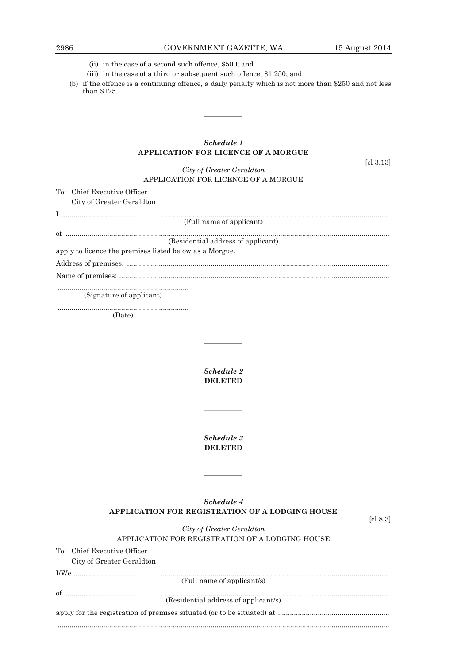- (ii) in the case of a second such offence, \$500; and
- (iii) in the case of a third or subsequent such offence, \$1 250; and
- (b) if the offence is a continuing offence, a daily penalty which is not more than \$250 and not less than \$125.

————

| Schedule 1                                                       |                                  |
|------------------------------------------------------------------|----------------------------------|
| <b>APPLICATION FOR LICENCE OF A MORGUE</b>                       |                                  |
| City of Greater Geraldton<br>APPLICATION FOR LICENCE OF A MORGUE | $\lbrack c \rbrack 3.13 \rbrack$ |
| To: Chief Executive Officer                                      |                                  |
| City of Greater Geraldton                                        |                                  |
|                                                                  |                                  |
| (Full name of applicant)                                         |                                  |
|                                                                  |                                  |
| (Residential address of applicant)                               |                                  |
| apply to licence the premises listed below as a Morgue.          |                                  |
|                                                                  |                                  |
|                                                                  |                                  |
|                                                                  |                                  |

(Signature of applicant)

To: Chief Executive Officer

 .................................................................. (Date)

> *Schedule 2*  **DELETED**

————

————

*Schedule 3*  **DELETED** 

# *Schedule 4*  **APPLICATION FOR REGISTRATION OF A LODGING HOUSE**

————

[cl 8.3]

*City of Greater Geraldton*  APPLICATION FOR REGISTRATION OF A LODGING HOUSE

| City of Greater Geraldton            |
|--------------------------------------|
|                                      |
| (Full name of applicant/s)           |
|                                      |
| (Residential address of applicant/s) |
|                                      |
|                                      |
|                                      |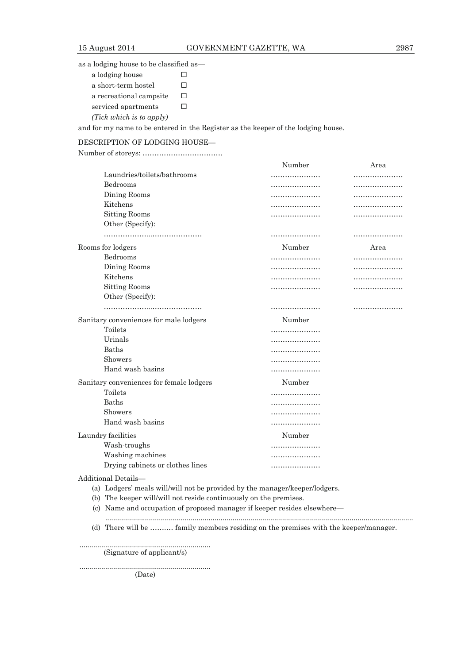as a lodging house to be classified as—

| a lodging house          |              |
|--------------------------|--------------|
| a short-term hostel      |              |
| a recreational campsite  | $\mathsf{L}$ |
| serviced apartments      | $\mathsf{L}$ |
| (Tick which is to apply) |              |

and for my name to be entered in the Register as the keeper of the lodging house.

# DESCRIPTION OF LODGING HOUSE—

Number of storeys: …………………………….

|                                                                                                                                                                                                                                       | Number | Area |
|---------------------------------------------------------------------------------------------------------------------------------------------------------------------------------------------------------------------------------------|--------|------|
| Laundries/toilets/bathrooms                                                                                                                                                                                                           |        |      |
| Bedrooms                                                                                                                                                                                                                              | .      | .    |
| Dining Rooms                                                                                                                                                                                                                          | .      | .    |
| Kitchens                                                                                                                                                                                                                              | .      | .    |
| <b>Sitting Rooms</b>                                                                                                                                                                                                                  | .      |      |
| Other (Specify):                                                                                                                                                                                                                      |        |      |
|                                                                                                                                                                                                                                       |        |      |
| Rooms for lodgers                                                                                                                                                                                                                     | Number | Area |
| Bedrooms                                                                                                                                                                                                                              | .      |      |
| Dining Rooms                                                                                                                                                                                                                          | .      |      |
| Kitchens                                                                                                                                                                                                                              | .      | .    |
| <b>Sitting Rooms</b>                                                                                                                                                                                                                  |        | .    |
| Other (Specify):                                                                                                                                                                                                                      |        |      |
|                                                                                                                                                                                                                                       |        |      |
| Sanitary conveniences for male lodgers                                                                                                                                                                                                | Number |      |
| Toilets                                                                                                                                                                                                                               |        |      |
| Urinals                                                                                                                                                                                                                               | .      |      |
| Baths                                                                                                                                                                                                                                 | .      |      |
| Showers                                                                                                                                                                                                                               | .      |      |
| Hand wash basins                                                                                                                                                                                                                      |        |      |
| Sanitary conveniences for female lodgers                                                                                                                                                                                              | Number |      |
| Toilets                                                                                                                                                                                                                               | .      |      |
| Baths                                                                                                                                                                                                                                 |        |      |
| Showers                                                                                                                                                                                                                               | .      |      |
| Hand wash basins                                                                                                                                                                                                                      |        |      |
| Laundry facilities                                                                                                                                                                                                                    | Number |      |
| Wash-troughs                                                                                                                                                                                                                          | .      |      |
| Washing machines                                                                                                                                                                                                                      | .      |      |
| Drying cabinets or clothes lines                                                                                                                                                                                                      |        |      |
| Additional Details-                                                                                                                                                                                                                   |        |      |
| (a) Lodgers' meals will/will not be provided by the manager/keeper/lodgers.                                                                                                                                                           |        |      |
| (b) The keeper will/will not reside continuously on the premises.                                                                                                                                                                     |        |      |
| (A) $\mathbf{M}$ , and a set of the set of the set of the set of $\mathbf{C}$ is the set of the set of the set of the set of the set of the set of the set of the set of the set of the set of the set of the set of the set of the s |        |      |

 (c) Name and occupation of proposed manager if keeper resides elsewhere— ...........................................................................................................................................................

(d) There will be …….… family members residing on the premises with the keeper/manager.

 .................................................................. (Signature of applicant/s)

 .................................................................. (Date)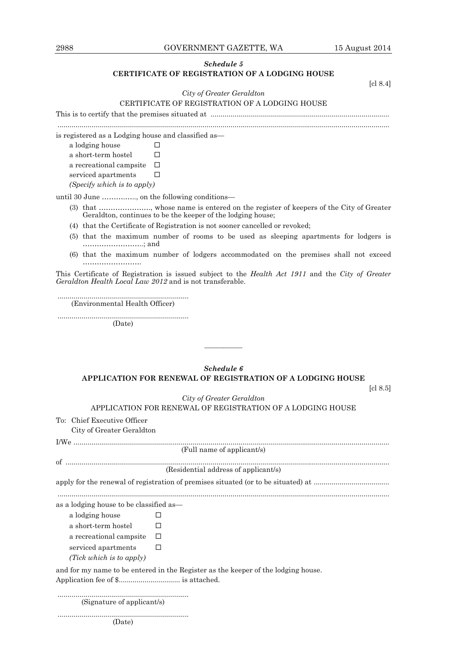2988 GOVERNMENT GAZETTE, WA 15 August 2014

# *Schedule 5*  **CERTIFICATE OF REGISTRATION OF A LODGING HOUSE**

[cl 8.4]

# *City of Greater Geraldton*  CERTIFICATE OF REGISTRATION OF A LODGING HOUSE

This is to certify that the premises situated at .......................................................................................... .......................................................................................................................................................................

is registered as a Lodging house and classified as—

a lodging house a short-term hostel  $\qquad \Box$ 

a recreational campsite  $\quad \, \Box$ serviced apartments  $\square$ 

*(Specify which is to apply)* 

until 30 June ……….….., on the following conditions—

 (3) that …………………., whose name is entered on the register of keepers of the City of Greater Geraldton, continues to be the keeper of the lodging house;

(4) that the Certificate of Registration is not sooner cancelled or revoked;

- (5) that the maximum number of rooms to be used as sleeping apartments for lodgers is ……………………..; and
- (6) that the maximum number of lodgers accommodated on the premises shall not exceed …………………….

This Certificate of Registration is issued subject to the *Health Act 1911* and the *City of Greater Geraldton Health Local Law 2012* and is not transferable.

 .................................................................. (Environmental Health Officer)

 .................................................................. (Date)

# *Schedule 6*  **APPLICATION FOR RENEWAL OF REGISTRATION OF A LODGING HOUSE**

————

[cl 8.5]

# *City of Greater Geraldton*

APPLICATION FOR RENEWAL OF REGISTRATION OF A LODGING HOUSE

To: Chief Executive Officer

City of Greater Geraldton

|                                        | (Full name of applicant/s)                                                        |
|----------------------------------------|-----------------------------------------------------------------------------------|
|                                        |                                                                                   |
|                                        | (Residential address of applicant/s)                                              |
|                                        |                                                                                   |
|                                        |                                                                                   |
| as a lodging house to be classified as |                                                                                   |
| a lodging house                        | $\mathbf{L}$                                                                      |
| a short-term hostel                    | □                                                                                 |
| a recreational campsite                | □                                                                                 |
| serviced apartments                    | □                                                                                 |
| (Tick which is to apply)               |                                                                                   |
|                                        | and for my name to be entered in the Register as the keeper of the lodging house. |
|                                        |                                                                                   |

 .................................................................. (Signature of applicant/s)

..................................................................

(Date)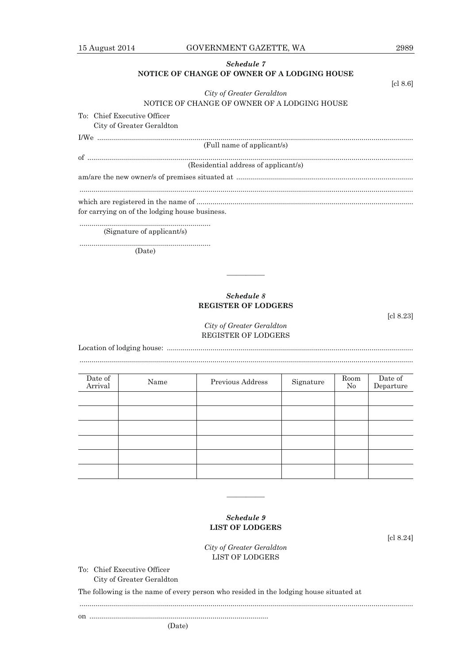# *Schedule 7*  **NOTICE OF CHANGE OF OWNER OF A LODGING HOUSE**

| City of Greater Geraldton                      |
|------------------------------------------------|
| NOTICE OF CHANGE OF OWNER OF A LODGING HOUSE   |
| To: Chief Executive Officer                    |
| City of Greater Geraldton                      |
|                                                |
| (Full name of applicant/s)                     |
|                                                |
| (Residential address of applicant/s)           |
|                                                |
| for carrying on of the lodging house business. |
|                                                |

 .................................................................. (Signature of applicant/s)

..................................................................

(Date)

# *Schedule 8*  **REGISTER OF LODGERS**

————

[cl 8.23]

# *City of Greater Geraldton*  REGISTER OF LODGERS

Location of lodging house: ............................................................................................................................ ........................................................................................................................................................................

| Date of<br>Arrival | Name | Previous Address | Signature | Room<br>$\rm No$ | Date of<br>Departure |
|--------------------|------|------------------|-----------|------------------|----------------------|
|                    |      |                  |           |                  |                      |
|                    |      |                  |           |                  |                      |
|                    |      |                  |           |                  |                      |
|                    |      |                  |           |                  |                      |
|                    |      |                  |           |                  |                      |
|                    |      |                  |           |                  |                      |

# *Schedule 9*  **LIST OF LODGERS**

————

[cl 8.24]

*City of Greater Geraldton*  LIST OF LODGERS

........................................................................................................................................................................

To: Chief Executive Officer City of Greater Geraldton

The following is the name of every person who resided in the lodging house situated at

on ..........................................................................................

[cl 8.6]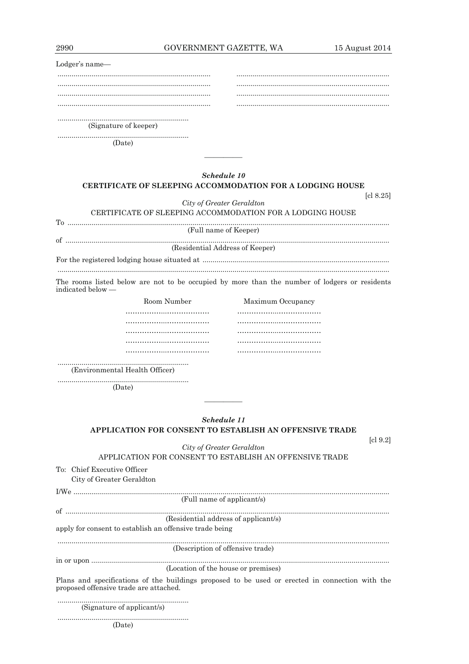| GOVERNMENT GAZETTE, WA |  |
|------------------------|--|
|                        |  |

| 2990              | GOVERNMENT GAZETTE, WA                                                                        |                   | 15 August 2014 |
|-------------------|-----------------------------------------------------------------------------------------------|-------------------|----------------|
| Lodger's name-    |                                                                                               |                   |                |
|                   |                                                                                               |                   |                |
|                   |                                                                                               |                   |                |
|                   |                                                                                               |                   |                |
|                   |                                                                                               |                   |                |
|                   | (Signature of keeper)                                                                         |                   |                |
|                   | (Date)                                                                                        |                   |                |
|                   |                                                                                               |                   |                |
|                   | Schedule 10                                                                                   |                   |                |
|                   | <b>CERTIFICATE OF SLEEPING ACCOMMODATION FOR A LODGING HOUSE</b>                              |                   |                |
|                   |                                                                                               |                   | [c1 8.25]      |
|                   | City of Greater Geraldton                                                                     |                   |                |
|                   | CERTIFICATE OF SLEEPING ACCOMMODATION FOR A LODGING HOUSE                                     |                   |                |
|                   | (Full name of Keeper)                                                                         |                   |                |
|                   |                                                                                               |                   |                |
|                   | (Residential Address of Keeper)                                                               |                   |                |
|                   |                                                                                               |                   |                |
| indicated below — | The rooms listed below are not to be occupied by more than the number of lodgers or residents |                   |                |
|                   | Room Number                                                                                   | Maximum Occupancy |                |
|                   |                                                                                               |                   |                |
|                   |                                                                                               |                   |                |
|                   |                                                                                               |                   |                |
|                   |                                                                                               |                   |                |

(Environmental Health Officer)

(Date)

| Schedule 11                                             |
|---------------------------------------------------------|
| APPLICATION FOR CONSENT TO ESTABLISH AN OFFENSIVE TRADE |

City of Greater Geraldton

 $\lbrack c \rbrack 9.2 \rbrack$ 

APPLICATION FOR CONSENT TO ESTABLISH AN OFFENSIVE TRADE To: Chief Executive Officer City of Greater Geraldton

 $\textit{I/We}\textit{........}{\textit{...}}\textit{........}{\textit{...}}\textit{........}{\textit{...}}\textit{........}{\textit{...}}\textit{........}{\textit{...}}\textit{........}{\textit{...}}\textit{........}{\textit{...}}\textit{........}{\textit{...}}\textit{........}{\textit{...}}\textit{........}{\textit{...}}\textit{........}{\textit{...}}\textit{........}{\textit{...}}\textit{........}{\textit{...}}\textit{........}{\textit{...}}\textit{........}{\textit{...}}\textit{........}{\textit{...}}\textit{........}{\textit{...}}\textit{........}{\textit$ (Residential address of applicant/s) apply for consent to establish an offensive trade being (Description of offensive trade) (Location of the house or premises) Plans and specifications of the buildings proposed to be used or erected in connection with the proposed offensive trade are attached. 

(Signature of applicant/s)

(Date)